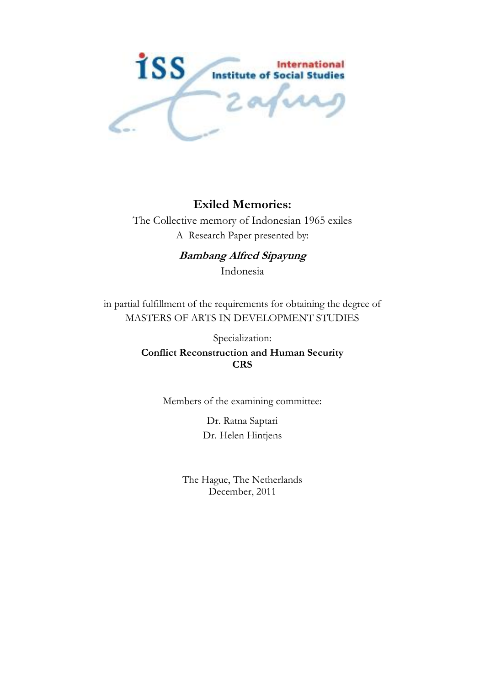

## **Exiled Memories:**

The Collective memory of Indonesian 1965 exiles A Research Paper presented by:

> **Bambang Alfred Sipayung** Indonesia

in partial fulfillment of the requirements for obtaining the degree of MASTERS OF ARTS IN DEVELOPMENT STUDIES

> Specialization: **Conflict Reconstruction and Human Security CRS**

> > Members of the examining committee:

Dr. Ratna Saptari Dr. Helen Hintjens

The Hague, The Netherlands December, 2011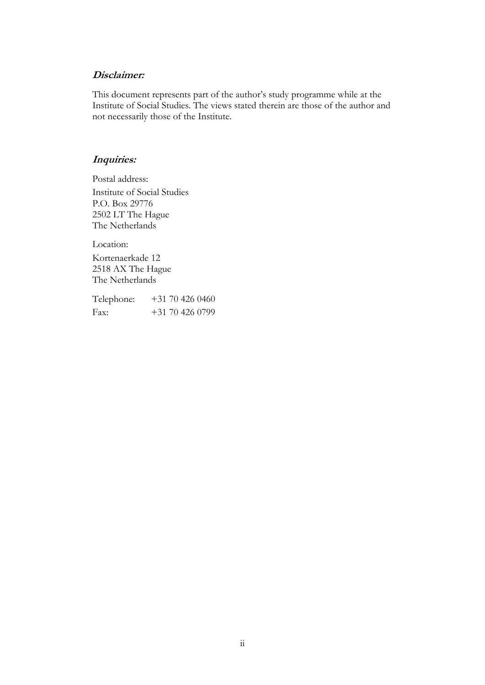#### **Disclaimer:**

This document represents part of the author's study programme while at the Institute of Social Studies. The views stated therein are those of the author and not necessarily those of the Institute.

## **Inquiries:**

Postal address: Institute of Social Studies P.O. Box 29776 2502 LT The Hague The Netherlands

Location:

Kortenaerkade 12 2518 AX The Hague The Netherlands

| Telephone: | $+31\,70\,426\,0460$ |
|------------|----------------------|
| Fax:       | $+31704260799$       |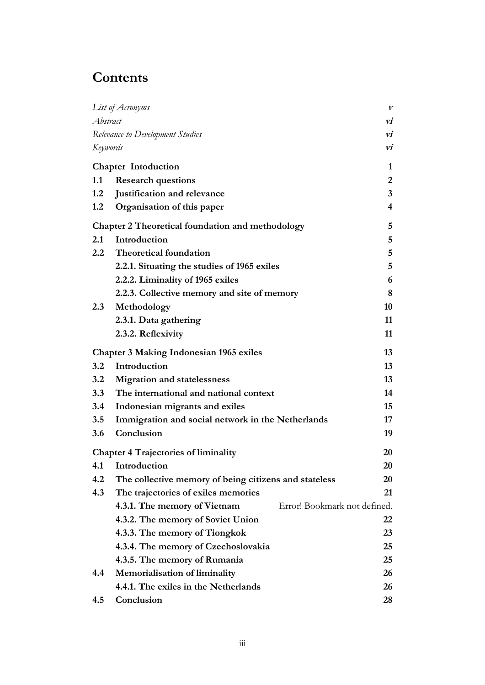# **Contents**

|          | List of Acronyms                                             | V                       |
|----------|--------------------------------------------------------------|-------------------------|
| Abstract |                                                              | vi                      |
|          | Relevance to Development Studies                             | VÍ                      |
| Keywords |                                                              | VÍ                      |
|          | <b>Chapter Intoduction</b>                                   | 1                       |
| 1.1      | <b>Research questions</b>                                    | $\overline{2}$          |
| 1.2      | Justification and relevance                                  | $\mathbf{3}$            |
| 1.2      | Organisation of this paper                                   | $\overline{\mathbf{4}}$ |
|          | Chapter 2 Theoretical foundation and methodology             | 5                       |
| 2.1      | Introduction                                                 | 5                       |
| 2.2      | <b>Theoretical foundation</b>                                | 5                       |
|          | 2.2.1. Situating the studies of 1965 exiles                  | 5                       |
|          | 2.2.2. Liminality of 1965 exiles                             | 6                       |
|          | 2.2.3. Collective memory and site of memory                  | 8                       |
| 2.3      | Methodology                                                  | 10                      |
|          | 2.3.1. Data gathering                                        | 11                      |
|          | 2.3.2. Reflexivity                                           | 11                      |
|          | <b>Chapter 3 Making Indonesian 1965 exiles</b>               | 13                      |
| 3.2      | Introduction                                                 | 13                      |
| 3.2      | <b>Migration and statelessness</b>                           | 13                      |
| 3.3      | The international and national context                       | 14                      |
| 3.4      | Indonesian migrants and exiles                               | 15                      |
| 3.5      | Immigration and social network in the Netherlands            | 17                      |
| 3.6      | Conclusion                                                   | 19                      |
|          | <b>Chapter 4 Trajectories of liminality</b>                  | 20                      |
|          | 4.1 Introduction                                             | 20                      |
| 4.2      | The collective memory of being citizens and stateless        | 20                      |
| 4.3      | The trajectories of exiles memories                          | 21                      |
|          | Error! Bookmark not defined.<br>4.3.1. The memory of Vietnam |                         |
|          | 4.3.2. The memory of Soviet Union                            | 22                      |
|          | 4.3.3. The memory of Tiongkok                                | 23                      |
|          | 4.3.4. The memory of Czechoslovakia                          | 25                      |
|          | 4.3.5. The memory of Rumania                                 | 25                      |
| 4.4      | Memorialisation of liminality                                | 26                      |
|          | 4.4.1. The exiles in the Netherlands                         | 26                      |
| 4.5      | Conclusion                                                   | 28                      |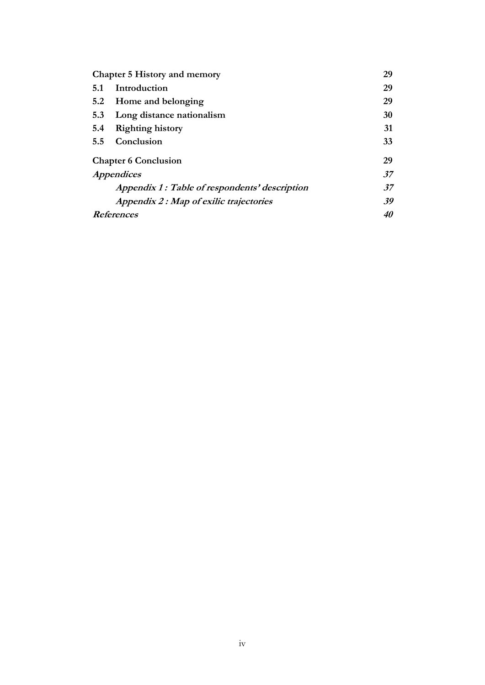| <b>Chapter 5 History and memory</b> |                                               |           |  |  |
|-------------------------------------|-----------------------------------------------|-----------|--|--|
| 5.1                                 | Introduction                                  | 29        |  |  |
| 5.2                                 | Home and belonging                            | 29        |  |  |
| 5.3                                 | Long distance nationalism                     | 30        |  |  |
| 5.4                                 | <b>Righting history</b>                       | 31        |  |  |
| 5.5                                 | Conclusion                                    | 33        |  |  |
|                                     | <b>Chapter 6 Conclusion</b>                   | 29        |  |  |
|                                     | <i>Appendices</i>                             | .37       |  |  |
|                                     | Appendix 1: Table of respondents' description | .37       |  |  |
|                                     | Appendix 2 : Map of exilic trajectories       | 39        |  |  |
|                                     | <b>References</b>                             | <i>40</i> |  |  |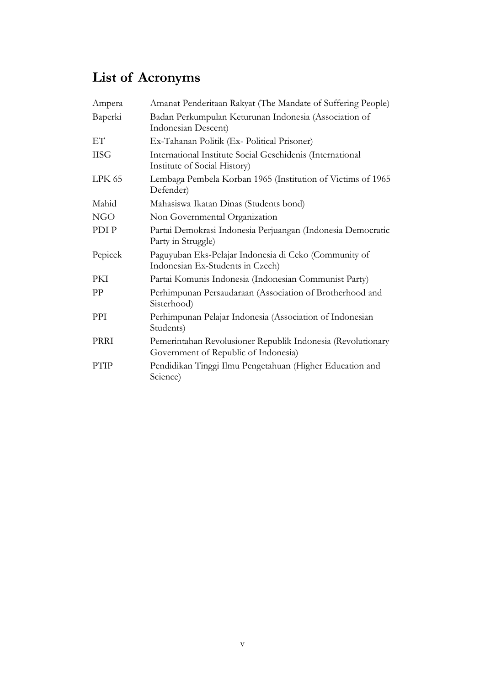# <span id="page-4-0"></span>**List of Acronyms**

| Ampera      | Amanat Penderitaan Rakyat (The Mandate of Suffering People)                                         |
|-------------|-----------------------------------------------------------------------------------------------------|
| Baperki     | Badan Perkumpulan Keturunan Indonesia (Association of<br>Indonesian Descent)                        |
| EТ          | Ex-Tahanan Politik (Ex- Political Prisoner)                                                         |
| <b>IISG</b> | International Institute Social Geschidenis (International<br>Institute of Social History)           |
| LPK 65      | Lembaga Pembela Korban 1965 (Institution of Victims of 1965<br>Defender)                            |
| Mahid       | Mahasiswa Ikatan Dinas (Students bond)                                                              |
| <b>NGO</b>  | Non Governmental Organization                                                                       |
| PDI P       | Partai Demokrasi Indonesia Perjuangan (Indonesia Democratic<br>Party in Struggle)                   |
| Pepicek     | Paguyuban Eks-Pelajar Indonesia di Ceko (Community of<br>Indonesian Ex-Students in Czech)           |
| PKI         | Partai Komunis Indonesia (Indonesian Communist Party)                                               |
| PP          | Perhimpunan Persaudaraan (Association of Brotherhood and<br>Sisterhood)                             |
| PPI         | Perhimpunan Pelajar Indonesia (Association of Indonesian<br>Students)                               |
| PRRI        | Pemerintahan Revolusioner Republik Indonesia (Revolutionary<br>Government of Republic of Indonesia) |
| PTIP        | Pendidikan Tinggi Ilmu Pengetahuan (Higher Education and<br>Science)                                |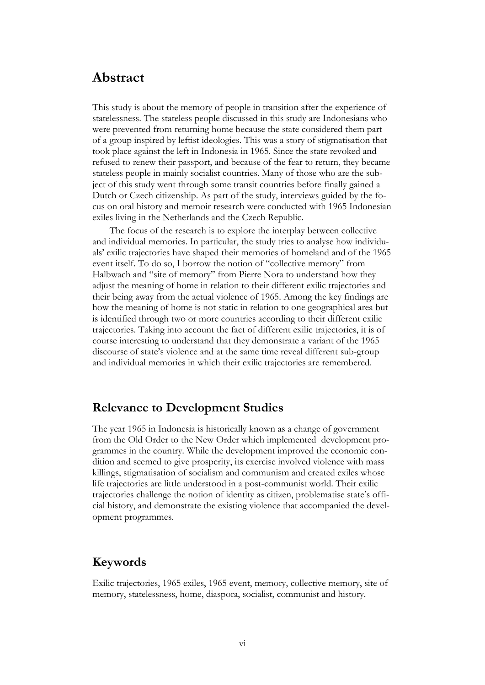## <span id="page-5-0"></span>**Abstract**

This study is about the memory of people in transition after the experience of statelessness. The stateless people discussed in this study are Indonesians who were prevented from returning home because the state considered them part of a group inspired by leftist ideologies. This was a story of stigmatisation that took place against the left in Indonesia in 1965. Since the state revoked and refused to renew their passport, and because of the fear to return, they became stateless people in mainly socialist countries. Many of those who are the subject of this study went through some transit countries before finally gained a Dutch or Czech citizenship. As part of the study, interviews guided by the focus on oral history and memoir research were conducted with 1965 Indonesian exiles living in the Netherlands and the Czech Republic.

The focus of the research is to explore the interplay between collective and individual memories. In particular, the study tries to analyse how individuals" exilic trajectories have shaped their memories of homeland and of the 1965 event itself. To do so, I borrow the notion of "collective memory" from Halbwach and "site of memory" from Pierre Nora to understand how they adjust the meaning of home in relation to their different exilic trajectories and their being away from the actual violence of 1965. Among the key findings are how the meaning of home is not static in relation to one geographical area but is identified through two or more countries according to their different exilic trajectories. Taking into account the fact of different exilic trajectories, it is of course interesting to understand that they demonstrate a variant of the 1965 discourse of state"s violence and at the same time reveal different sub-group and individual memories in which their exilic trajectories are remembered.

## **Relevance to Development Studies**

The year 1965 in Indonesia is historically known as a change of government from the Old Order to the New Order which implemented development programmes in the country. While the development improved the economic condition and seemed to give prosperity, its exercise involved violence with mass killings, stigmatisation of socialism and communism and created exiles whose life trajectories are little understood in a post-communist world. Their exilic trajectories challenge the notion of identity as citizen, problematise state"s official history, and demonstrate the existing violence that accompanied the development programmes.

## **Keywords**

Exilic trajectories, 1965 exiles, 1965 event, memory, collective memory, site of memory, statelessness, home, diaspora, socialist, communist and history.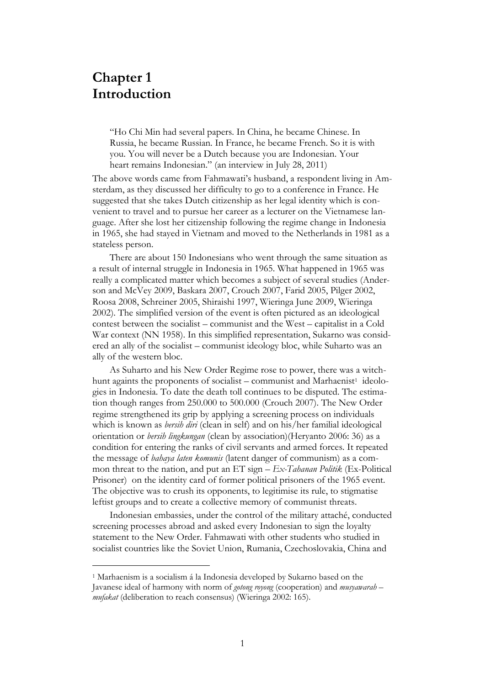## **Chapter 1 Introduction**

 $\overline{a}$ 

"Ho Chi Min had several papers. In China, he became Chinese. In Russia, he became Russian. In France, he became French. So it is with you. You will never be a Dutch because you are Indonesian. Your heart remains Indonesian." (an interview in July 28, 2011)

The above words came from Fahmawati"s husband, a respondent living in Amsterdam, as they discussed her difficulty to go to a conference in France. He suggested that she takes Dutch citizenship as her legal identity which is convenient to travel and to pursue her career as a lecturer on the Vietnamese language. After she lost her citizenship following the regime change in Indonesia in 1965, she had stayed in Vietnam and moved to the Netherlands in 1981 as a stateless person.

There are about 150 Indonesians who went through the same situation as a result of internal struggle in Indonesia in 1965. What happened in 1965 was really a complicated matter which becomes a subject of several studies (Anderson and McVey 2009, Baskara 2007, Crouch 2007, Farid 2005, Pilger 2002, Roosa 2008, Schreiner 2005, Shiraishi 1997, Wieringa June 2009, Wieringa 2002). The simplified version of the event is often pictured as an ideological contest between the socialist – communist and the West – capitalist in a Cold War context (NN 1958). In this simplified representation, Sukarno was considered an ally of the socialist – communist ideology bloc, while Suharto was an ally of the western bloc.

As Suharto and his New Order Regime rose to power, there was a witchhunt againts the proponents of socialist - communist and Marhaenist<sup>1</sup> ideologies in Indonesia. To date the death toll continues to be disputed. The estimation though ranges from 250.000 to 500.000 (Crouch 2007). The New Order regime strengthened its grip by applying a screening process on individuals which is known as *bersih diri* (clean in self) and on his/her familial ideological orientation or *bersih lingkungan* (clean by association)(Heryanto 2006: 36) as a condition for entering the ranks of civil servants and armed forces. It repeated the message of *bahaya laten komunis* (latent danger of communism) as a common threat to the nation, and put an ET sign – *Ex-Tahanan Politik* (Ex-Political Prisoner) on the identity card of former political prisoners of the 1965 event. The objective was to crush its opponents, to legitimise its rule, to stigmatise leftist groups and to create a collective memory of communist threats.

Indonesian embassies, under the control of the military attaché, conducted screening processes abroad and asked every Indonesian to sign the loyalty statement to the New Order. Fahmawati with other students who studied in socialist countries like the Soviet Union, Rumania, Czechoslovakia, China and

<sup>1</sup> Marhaenism is a socialism á la Indonesia developed by Sukarno based on the Javanese ideal of harmony with norm of *gotong royong* (cooperation) and *musyawarah – mufakat* (deliberation to reach consensus) (Wieringa 2002: 165).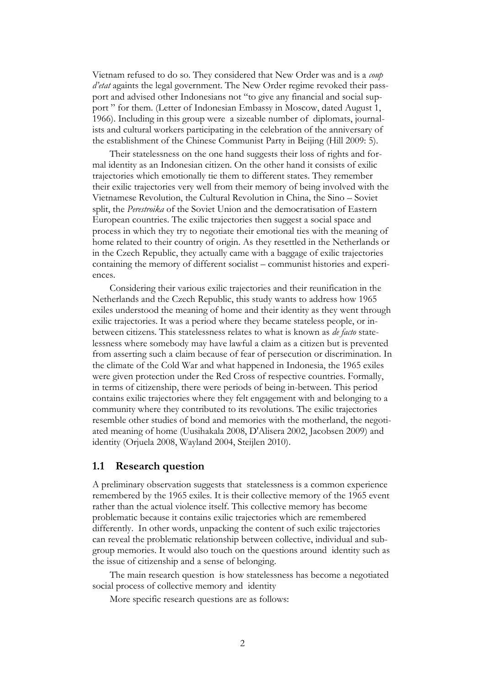Vietnam refused to do so. They considered that New Order was and is a *coup d'etat* againts the legal government. The New Order regime revoked their passport and advised other Indonesians not "to give any financial and social support " for them. (Letter of Indonesian Embassy in Moscow, dated August 1, 1966). Including in this group were a sizeable number of diplomats, journalists and cultural workers participating in the celebration of the anniversary of the establishment of the Chinese Communist Party in Beijing (Hill 2009: 5).

Their statelessness on the one hand suggests their loss of rights and formal identity as an Indonesian citizen. On the other hand it consists of exilic trajectories which emotionally tie them to different states. They remember their exilic trajectories very well from their memory of being involved with the Vietnamese Revolution, the Cultural Revolution in China, the Sino – Soviet split, the *Perestroika* of the Soviet Union and the democratisation of Eastern European countries. The exilic trajectories then suggest a social space and process in which they try to negotiate their emotional ties with the meaning of home related to their country of origin. As they resettled in the Netherlands or in the Czech Republic, they actually came with a baggage of exilic trajectories containing the memory of different socialist – communist histories and experiences.

Considering their various exilic trajectories and their reunification in the Netherlands and the Czech Republic, this study wants to address how 1965 exiles understood the meaning of home and their identity as they went through exilic trajectories. It was a period where they became stateless people, or inbetween citizens. This statelessness relates to what is known as *de facto* statelessness where somebody may have lawful a claim as a citizen but is prevented from asserting such a claim because of fear of persecution or discrimination. In the climate of the Cold War and what happened in Indonesia, the 1965 exiles were given protection under the Red Cross of respective countries. Formally, in terms of citizenship, there were periods of being in-between. This period contains exilic trajectories where they felt engagement with and belonging to a community where they contributed to its revolutions. The exilic trajectories resemble other studies of bond and memories with the motherland, the negotiated meaning of home (Uusihakala 2008, D'Alisera 2002, Jacobsen 2009) and identity (Orjuela 2008, Wayland 2004, Steijlen 2010).

#### **1.1 Research question**

A preliminary observation suggests that statelessness is a common experience remembered by the 1965 exiles. It is their collective memory of the 1965 event rather than the actual violence itself. This collective memory has become problematic because it contains exilic trajectories which are remembered differently. In other words, unpacking the content of such exilic trajectories can reveal the problematic relationship between collective, individual and subgroup memories. It would also touch on the questions around identity such as the issue of citizenship and a sense of belonging.

The main research question is how statelessness has become a negotiated social process of collective memory and identity

More specific research questions are as follows: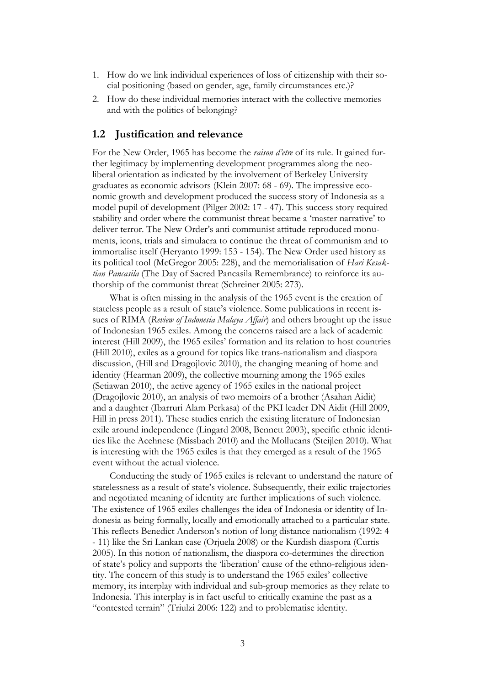- 1. How do we link individual experiences of loss of citizenship with their social positioning (based on gender, age, family circumstances etc.)?
- 2. How do these individual memories interact with the collective memories and with the politics of belonging?

#### **1.2 Justification and relevance**

For the New Order, 1965 has become the *raison d'etre* of its rule. It gained further legitimacy by implementing development programmes along the neoliberal orientation as indicated by the involvement of Berkeley University graduates as economic advisors (Klein 2007: 68 - 69). The impressive economic growth and development produced the success story of Indonesia as a model pupil of development (Pilger 2002: 17 - 47). This success story required stability and order where the communist threat became a "master narrative" to deliver terror. The New Order's anti communist attitude reproduced monuments, icons, trials and simulacra to continue the threat of communism and to immortalise itself (Heryanto 1999: 153 - 154). The New Order used history as its political tool (McGregor 2005: 228), and the memorialisation of *Hari Kesaktian Pancasila* (The Day of Sacred Pancasila Remembrance) to reinforce its authorship of the communist threat (Schreiner 2005: 273).

What is often missing in the analysis of the 1965 event is the creation of stateless people as a result of state's violence. Some publications in recent issues of RIMA (*Review of Indonesia Malaya Affair*) and others brought up the issue of Indonesian 1965 exiles. Among the concerns raised are a lack of academic interest (Hill 2009), the 1965 exiles" formation and its relation to host countries (Hill 2010), exiles as a ground for topics like trans-nationalism and diaspora discussion, (Hill and Dragojlovic 2010), the changing meaning of home and identity (Hearman 2009), the collective mourning among the 1965 exiles (Setiawan 2010), the active agency of 1965 exiles in the national project (Dragojlovic 2010), an analysis of two memoirs of a brother (Asahan Aidit) and a daughter (Ibarruri Alam Perkasa) of the PKI leader DN Aidit (Hill 2009, Hill in press 2011). These studies enrich the existing literature of Indonesian exile around independence (Lingard 2008, Bennett 2003), specific ethnic identities like the Acehnese (Missbach 2010) and the Mollucans (Steijlen 2010). What is interesting with the 1965 exiles is that they emerged as a result of the 1965 event without the actual violence.

Conducting the study of 1965 exiles is relevant to understand the nature of statelessness as a result of state"s violence. Subsequently, their exilic trajectories and negotiated meaning of identity are further implications of such violence. The existence of 1965 exiles challenges the idea of Indonesia or identity of Indonesia as being formally, locally and emotionally attached to a particular state. This reflects Benedict Anderson"s notion of long distance nationalism (1992: 4 - 11) like the Sri Lankan case (Orjuela 2008) or the Kurdish diaspora (Curtis 2005). In this notion of nationalism, the diaspora co-determines the direction of state's policy and supports the 'liberation' cause of the ethno-religious identity. The concern of this study is to understand the 1965 exiles" collective memory, its interplay with individual and sub-group memories as they relate to Indonesia. This interplay is in fact useful to critically examine the past as a "contested terrain" (Triulzi 2006: 122) and to problematise identity.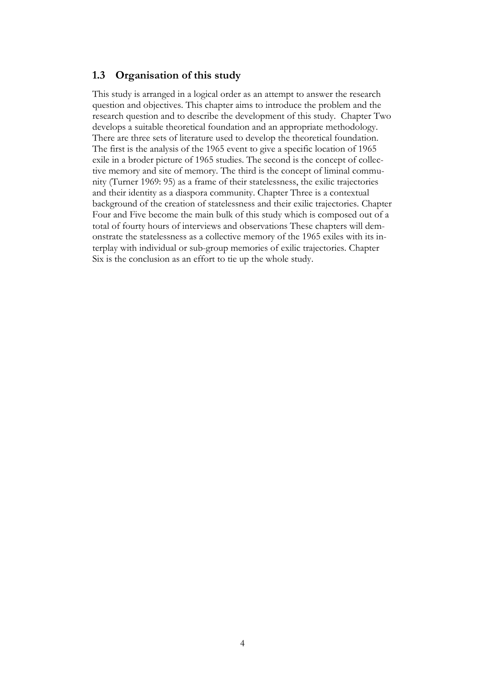### **1.3 Organisation of this study**

This study is arranged in a logical order as an attempt to answer the research question and objectives. This chapter aims to introduce the problem and the research question and to describe the development of this study. Chapter Two develops a suitable theoretical foundation and an appropriate methodology. There are three sets of literature used to develop the theoretical foundation. The first is the analysis of the 1965 event to give a specific location of 1965 exile in a broder picture of 1965 studies. The second is the concept of collective memory and site of memory. The third is the concept of liminal community (Turner 1969: 95) as a frame of their statelessness, the exilic trajectories and their identity as a diaspora community. Chapter Three is a contextual background of the creation of statelessness and their exilic trajectories. Chapter Four and Five become the main bulk of this study which is composed out of a total of fourty hours of interviews and observations These chapters will demonstrate the statelessness as a collective memory of the 1965 exiles with its interplay with individual or sub-group memories of exilic trajectories. Chapter Six is the conclusion as an effort to tie up the whole study.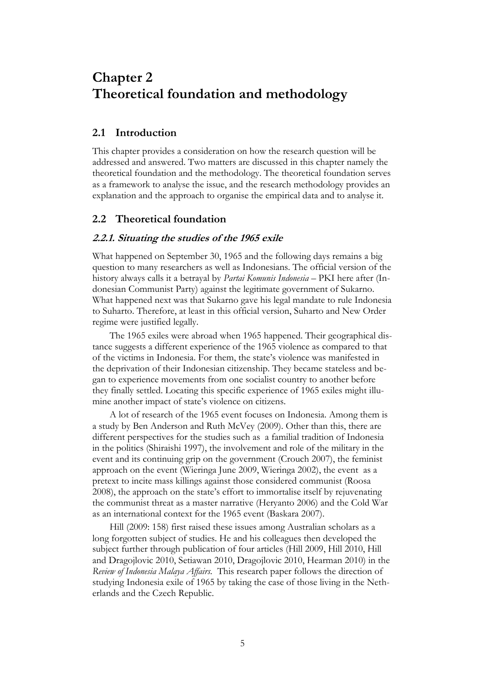## **Chapter 2 Theoretical foundation and methodology**

### **2.1 Introduction**

This chapter provides a consideration on how the research question will be addressed and answered. Two matters are discussed in this chapter namely the theoretical foundation and the methodology. The theoretical foundation serves as a framework to analyse the issue, and the research methodology provides an explanation and the approach to organise the empirical data and to analyse it.

### **2.2 Theoretical foundation**

#### **2.2.1. Situating the studies of the 1965 exile**

What happened on September 30, 1965 and the following days remains a big question to many researchers as well as Indonesians. The official version of the history always calls it a betrayal by *Partai Komunis Indonesia* – PKI here after (Indonesian Communist Party) against the legitimate government of Sukarno. What happened next was that Sukarno gave his legal mandate to rule Indonesia to Suharto. Therefore, at least in this official version, Suharto and New Order regime were justified legally.

The 1965 exiles were abroad when 1965 happened. Their geographical distance suggests a different experience of the 1965 violence as compared to that of the victims in Indonesia. For them, the state"s violence was manifested in the deprivation of their Indonesian citizenship. They became stateless and began to experience movements from one socialist country to another before they finally settled. Locating this specific experience of 1965 exiles might illumine another impact of state"s violence on citizens.

A lot of research of the 1965 event focuses on Indonesia. Among them is a study by Ben Anderson and Ruth McVey (2009). Other than this, there are different perspectives for the studies such as a familial tradition of Indonesia in the politics (Shiraishi 1997), the involvement and role of the military in the event and its continuing grip on the government (Crouch 2007), the feminist approach on the event (Wieringa June 2009, Wieringa 2002), the event as a pretext to incite mass killings against those considered communist (Roosa 2008), the approach on the state"s effort to immortalise itself by rejuvenating the communist threat as a master narrative (Heryanto 2006) and the Cold War as an international context for the 1965 event (Baskara 2007).

Hill (2009: 158) first raised these issues among Australian scholars as a long forgotten subject of studies. He and his colleagues then developed the subject further through publication of four articles (Hill 2009, Hill 2010, Hill and Dragojlovic 2010, Setiawan 2010, Dragojlovic 2010, Hearman 2010) in the *Review of Indonesia Malaya Affairs.* This research paper follows the direction of studying Indonesia exile of 1965 by taking the case of those living in the Netherlands and the Czech Republic.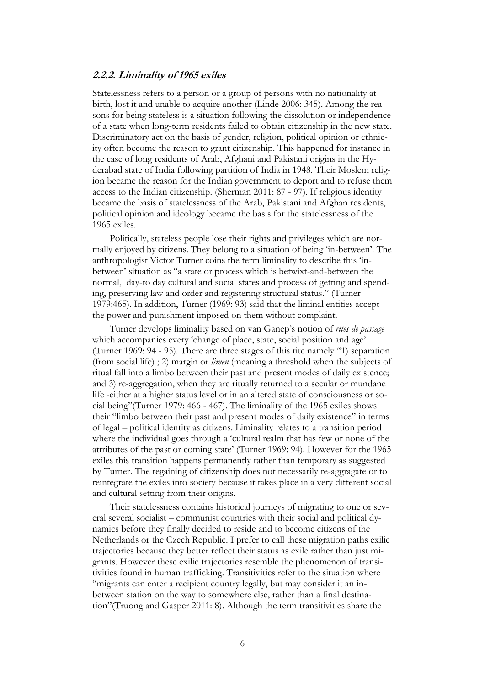#### **2.2.2. Liminality of 1965 exiles**

Statelessness refers to a person or a group of persons with no nationality at birth, lost it and unable to acquire another (Linde 2006: 345). Among the reasons for being stateless is a situation following the dissolution or independence of a state when long-term residents failed to obtain citizenship in the new state. Discriminatory act on the basis of gender, religion, political opinion or ethnicity often become the reason to grant citizenship. This happened for instance in the case of long residents of Arab, Afghani and Pakistani origins in the Hyderabad state of India following partition of India in 1948. Their Moslem religion became the reason for the Indian government to deport and to refuse them access to the Indian citizenship. (Sherman 2011: 87 - 97). If religious identity became the basis of statelessness of the Arab, Pakistani and Afghan residents, political opinion and ideology became the basis for the statelessness of the 1965 exiles.

Politically, stateless people lose their rights and privileges which are normally enjoyed by citizens. They belong to a situation of being "in-between". The anthropologist Victor Turner coins the term liminality to describe this "inbetween" situation as "a state or process which is betwixt-and-between the normal, day-to day cultural and social states and process of getting and spending, preserving law and order and registering structural status." (Turner 1979:465). In addition, Turner (1969: 93) said that the liminal entities accept the power and punishment imposed on them without complaint.

Turner develops liminality based on van Ganep"s notion of *rites de passage* which accompanies every 'change of place, state, social position and age' (Turner 1969: 94 - 95). There are three stages of this rite namely "1) separation (from social life) ; 2) margin or *limen* (meaning a threshold when the subjects of ritual fall into a limbo between their past and present modes of daily existence; and 3) re-aggregation, when they are ritually returned to a secular or mundane life -either at a higher status level or in an altered state of consciousness or social being"(Turner 1979: 466 - 467). The liminality of the 1965 exiles shows their "limbo between their past and present modes of daily existence" in terms of legal – political identity as citizens. Liminality relates to a transition period where the individual goes through a "cultural realm that has few or none of the attributes of the past or coming state" (Turner 1969: 94). However for the 1965 exiles this transition happens permanently rather than temporary as suggested by Turner. The regaining of citizenship does not necessarily re-aggragate or to reintegrate the exiles into society because it takes place in a very different social and cultural setting from their origins.

Their statelessness contains historical journeys of migrating to one or several several socialist – communist countries with their social and political dynamics before they finally decided to reside and to become citizens of the Netherlands or the Czech Republic. I prefer to call these migration paths exilic trajectories because they better reflect their status as exile rather than just migrants. However these exilic trajectories resemble the phenomenon of transitivities found in human trafficking. Transitivities refer to the situation where "migrants can enter a recipient country legally, but may consider it an inbetween station on the way to somewhere else, rather than a final destination"(Truong and Gasper 2011: 8). Although the term transitivities share the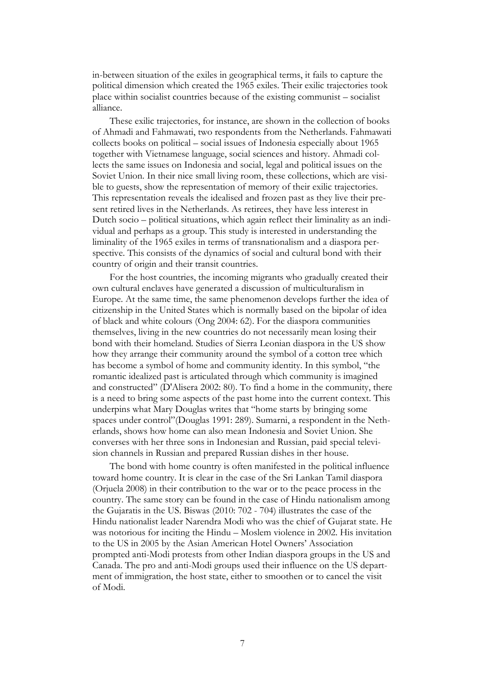in-between situation of the exiles in geographical terms, it fails to capture the political dimension which created the 1965 exiles. Their exilic trajectories took place within socialist countries because of the existing communist – socialist alliance.

These exilic trajectories, for instance, are shown in the collection of books of Ahmadi and Fahmawati, two respondents from the Netherlands. Fahmawati collects books on political – social issues of Indonesia especially about 1965 together with Vietnamese language, social sciences and history. Ahmadi collects the same issues on Indonesia and social, legal and political issues on the Soviet Union. In their nice small living room, these collections, which are visible to guests, show the representation of memory of their exilic trajectories. This representation reveals the idealised and frozen past as they live their present retired lives in the Netherlands. As retirees, they have less interest in Dutch socio – political situations, which again reflect their liminality as an individual and perhaps as a group. This study is interested in understanding the liminality of the 1965 exiles in terms of transnationalism and a diaspora perspective. This consists of the dynamics of social and cultural bond with their country of origin and their transit countries.

For the host countries, the incoming migrants who gradually created their own cultural enclaves have generated a discussion of multiculturalism in Europe. At the same time, the same phenomenon develops further the idea of citizenship in the United States which is normally based on the bipolar of idea of black and white colours (Ong 2004: 62). For the diaspora communities themselves, living in the new countries do not necessarily mean losing their bond with their homeland. Studies of Sierra Leonian diaspora in the US show how they arrange their community around the symbol of a cotton tree which has become a symbol of home and community identity. In this symbol, "the romantic idealized past is articulated through which community is imagined and constructed" (D'Alisera 2002: 80). To find a home in the community, there is a need to bring some aspects of the past home into the current context. This underpins what Mary Douglas writes that "home starts by bringing some spaces under control"(Douglas 1991: 289). Sumarni, a respondent in the Netherlands, shows how home can also mean Indonesia and Soviet Union. She converses with her three sons in Indonesian and Russian, paid special television channels in Russian and prepared Russian dishes in ther house.

The bond with home country is often manifested in the political influence toward home country. It is clear in the case of the Sri Lankan Tamil diaspora (Orjuela 2008) in their contribution to the war or to the peace process in the country. The same story can be found in the case of Hindu nationalism among the Gujaratis in the US. Biswas (2010: 702 - 704) illustrates the case of the Hindu nationalist leader Narendra Modi who was the chief of Gujarat state. He was notorious for inciting the Hindu – Moslem violence in 2002. His invitation to the US in 2005 by the Asian American Hotel Owners" Association prompted anti-Modi protests from other Indian diaspora groups in the US and Canada. The pro and anti-Modi groups used their influence on the US department of immigration, the host state, either to smoothen or to cancel the visit of Modi.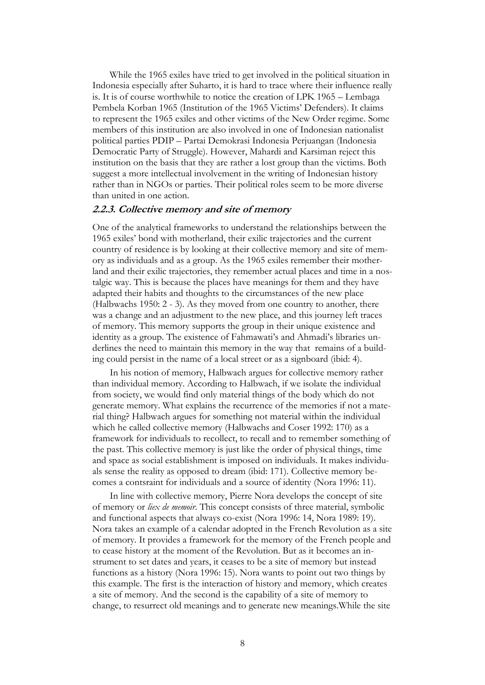While the 1965 exiles have tried to get involved in the political situation in Indonesia especially after Suharto, it is hard to trace where their influence really is. It is of course worthwhile to notice the creation of LPK 1965 – Lembaga Pembela Korban 1965 (Institution of the 1965 Victims" Defenders). It claims to represent the 1965 exiles and other victims of the New Order regime. Some members of this institution are also involved in one of Indonesian nationalist political parties PDIP – Partai Demokrasi Indonesia Perjuangan (Indonesia Democratic Party of Struggle). However, Mahardi and Karsiman reject this institution on the basis that they are rather a lost group than the victims. Both suggest a more intellectual involvement in the writing of Indonesian history rather than in NGOs or parties. Their political roles seem to be more diverse than united in one action.

#### **2.2.3. Collective memory and site of memory**

One of the analytical frameworks to understand the relationships between the 1965 exiles" bond with motherland, their exilic trajectories and the current country of residence is by looking at their collective memory and site of memory as individuals and as a group. As the 1965 exiles remember their motherland and their exilic trajectories, they remember actual places and time in a nostalgic way. This is because the places have meanings for them and they have adapted their habits and thoughts to the circumstances of the new place (Halbwachs 1950: 2 - 3). As they moved from one country to another, there was a change and an adjustment to the new place, and this journey left traces of memory. This memory supports the group in their unique existence and identity as a group. The existence of Fahmawati's and Ahmadi's libraries underlines the need to maintain this memory in the way that remains of a building could persist in the name of a local street or as a signboard (ibid: 4).

In his notion of memory, Halbwach argues for collective memory rather than individual memory. According to Halbwach, if we isolate the individual from society, we would find only material things of the body which do not generate memory. What explains the recurrence of the memories if not a material thing? Halbwach argues for something not material within the individual which he called collective memory (Halbwachs and Coser 1992: 170) as a framework for individuals to recollect, to recall and to remember something of the past. This collective memory is just like the order of physical things, time and space as social establishment is imposed on individuals. It makes individuals sense the reality as opposed to dream (ibid: 171). Collective memory becomes a contsraint for individuals and a source of identity (Nora 1996: 11).

In line with collective memory, Pierre Nora develops the concept of site of memory or *liex de memoir*. This concept consists of three material, symbolic and functional aspects that always co-exist (Nora 1996: 14, Nora 1989: 19). Nora takes an example of a calendar adopted in the French Revolution as a site of memory. It provides a framework for the memory of the French people and to cease history at the moment of the Revolution. But as it becomes an instrument to set dates and years, it ceases to be a site of memory but instead functions as a history (Nora 1996: 15). Nora wants to point out two things by this example. The first is the interaction of history and memory, which creates a site of memory. And the second is the capability of a site of memory to change, to resurrect old meanings and to generate new meanings.While the site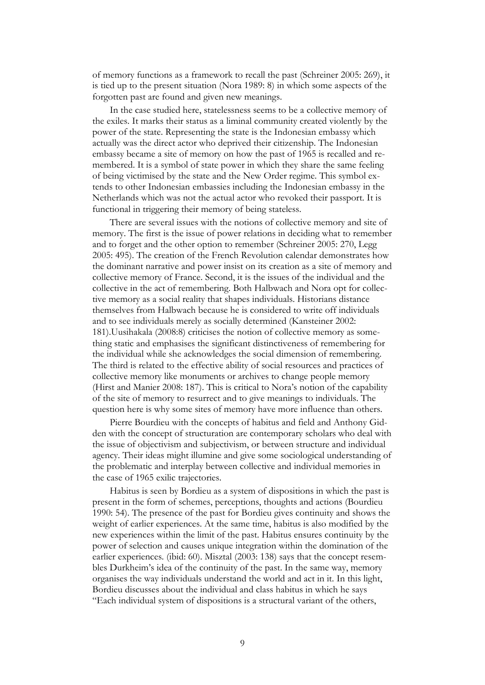of memory functions as a framework to recall the past (Schreiner 2005: 269), it is tied up to the present situation (Nora 1989: 8) in which some aspects of the forgotten past are found and given new meanings.

In the case studied here, statelessness seems to be a collective memory of the exiles. It marks their status as a liminal community created violently by the power of the state. Representing the state is the Indonesian embassy which actually was the direct actor who deprived their citizenship. The Indonesian embassy became a site of memory on how the past of 1965 is recalled and remembered. It is a symbol of state power in which they share the same feeling of being victimised by the state and the New Order regime. This symbol extends to other Indonesian embassies including the Indonesian embassy in the Netherlands which was not the actual actor who revoked their passport. It is functional in triggering their memory of being stateless.

There are several issues with the notions of collective memory and site of memory. The first is the issue of power relations in deciding what to remember and to forget and the other option to remember (Schreiner 2005: 270, Legg 2005: 495). The creation of the French Revolution calendar demonstrates how the dominant narrative and power insist on its creation as a site of memory and collective memory of France. Second, it is the issues of the individual and the collective in the act of remembering. Both Halbwach and Nora opt for collective memory as a social reality that shapes individuals. Historians distance themselves from Halbwach because he is considered to write off individuals and to see individuals merely as socially determined (Kansteiner 2002: 181).Uusihakala (2008:8) criticises the notion of collective memory as something static and emphasises the significant distinctiveness of remembering for the individual while she acknowledges the social dimension of remembering. The third is related to the effective ability of social resources and practices of collective memory like monuments or archives to change people memory (Hirst and Manier 2008: 187). This is critical to Nora"s notion of the capability of the site of memory to resurrect and to give meanings to individuals. The question here is why some sites of memory have more influence than others.

Pierre Bourdieu with the concepts of habitus and field and Anthony Gidden with the concept of structuration are contemporary scholars who deal with the issue of objectivism and subjectivism, or between structure and individual agency. Their ideas might illumine and give some sociological understanding of the problematic and interplay between collective and individual memories in the case of 1965 exilic trajectories.

Habitus is seen by Bordieu as a system of dispositions in which the past is present in the form of schemes, perceptions, thoughts and actions (Bourdieu 1990: 54). The presence of the past for Bordieu gives continuity and shows the weight of earlier experiences. At the same time, habitus is also modified by the new experiences within the limit of the past. Habitus ensures continuity by the power of selection and causes unique integration within the domination of the earlier experiences. (ibid: 60). Misztal (2003: 138) says that the concept resembles Durkheim"s idea of the continuity of the past. In the same way, memory organises the way individuals understand the world and act in it. In this light, Bordieu discusses about the individual and class habitus in which he says "Each individual system of dispositions is a structural variant of the others,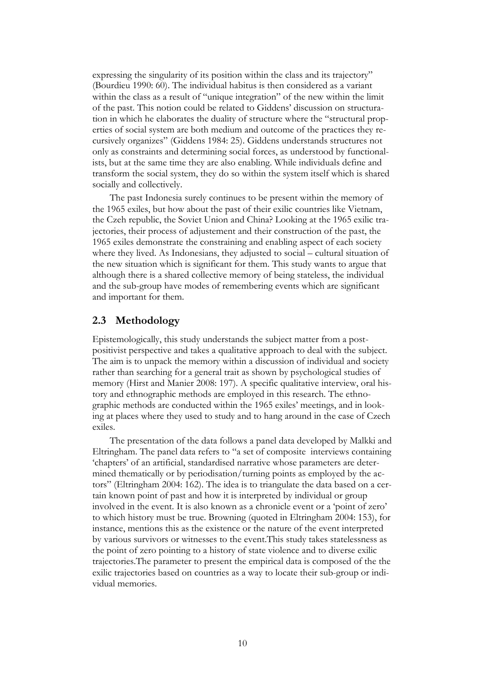expressing the singularity of its position within the class and its trajectory" (Bourdieu 1990: 60). The individual habitus is then considered as a variant within the class as a result of "unique integration" of the new within the limit of the past. This notion could be related to Giddens" discussion on structuration in which he elaborates the duality of structure where the "structural properties of social system are both medium and outcome of the practices they recursively organizes" (Giddens 1984: 25). Giddens understands structures not only as constraints and determining social forces, as understood by functionalists, but at the same time they are also enabling. While individuals define and transform the social system, they do so within the system itself which is shared socially and collectively.

The past Indonesia surely continues to be present within the memory of the 1965 exiles, but how about the past of their exilic countries like Vietnam, the Czeh republic, the Soviet Union and China? Looking at the 1965 exilic trajectories, their process of adjustement and their construction of the past, the 1965 exiles demonstrate the constraining and enabling aspect of each society where they lived. As Indonesians, they adjusted to social – cultural situation of the new situation which is significant for them. This study wants to argue that although there is a shared collective memory of being stateless, the individual and the sub-group have modes of remembering events which are significant and important for them.

### **2.3 Methodology**

Epistemologically, this study understands the subject matter from a postpositivist perspective and takes a qualitative approach to deal with the subject. The aim is to unpack the memory within a discussion of individual and society rather than searching for a general trait as shown by psychological studies of memory (Hirst and Manier 2008: 197). A specific qualitative interview, oral history and ethnographic methods are employed in this research. The ethnographic methods are conducted within the 1965 exiles' meetings, and in looking at places where they used to study and to hang around in the case of Czech exiles.

The presentation of the data follows a panel data developed by Malkki and Eltringham. The panel data refers to "a set of composite interviews containing "chapters" of an artificial, standardised narrative whose parameters are determined thematically or by periodisation/turning points as employed by the actors" (Eltringham 2004: 162). The idea is to triangulate the data based on a certain known point of past and how it is interpreted by individual or group involved in the event. It is also known as a chronicle event or a "point of zero" to which history must be true. Browning (quoted in Eltringham 2004: 153), for instance, mentions this as the existence or the nature of the event interpreted by various survivors or witnesses to the event.This study takes statelessness as the point of zero pointing to a history of state violence and to diverse exilic trajectories.The parameter to present the empirical data is composed of the the exilic trajectories based on countries as a way to locate their sub-group or individual memories.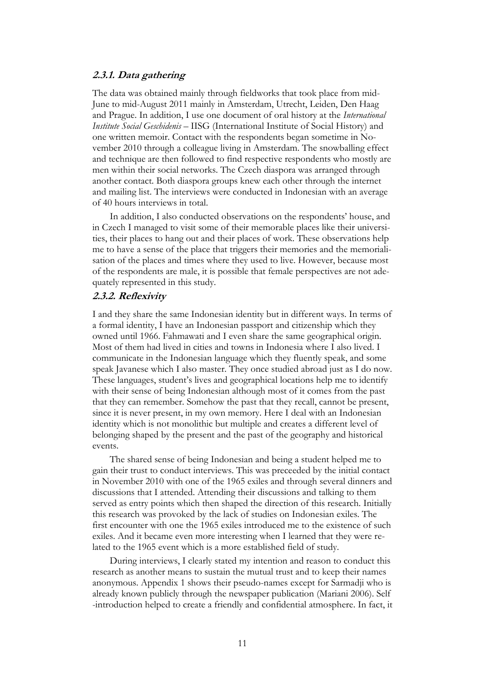#### **2.3.1. Data gathering**

The data was obtained mainly through fieldworks that took place from mid-June to mid-August 2011 mainly in Amsterdam, Utrecht, Leiden, Den Haag and Prague. In addition, I use one document of oral history at the *International Institute Social Geschidenis* – IISG (International Institute of Social History) and one written memoir. Contact with the respondents began sometime in November 2010 through a colleague living in Amsterdam. The snowballing effect and technique are then followed to find respective respondents who mostly are men within their social networks. The Czech diaspora was arranged through another contact. Both diaspora groups knew each other through the internet and mailing list. The interviews were conducted in Indonesian with an average of 40 hours interviews in total.

In addition, I also conducted observations on the respondents' house, and in Czech I managed to visit some of their memorable places like their universities, their places to hang out and their places of work. These observations help me to have a sense of the place that triggers their memories and the memorialisation of the places and times where they used to live. However, because most of the respondents are male, it is possible that female perspectives are not adequately represented in this study.

#### **2.3.2. Reflexivity**

I and they share the same Indonesian identity but in different ways. In terms of a formal identity, I have an Indonesian passport and citizenship which they owned until 1966. Fahmawati and I even share the same geographical origin. Most of them had lived in cities and towns in Indonesia where I also lived. I communicate in the Indonesian language which they fluently speak, and some speak Javanese which I also master. They once studied abroad just as I do now. These languages, student"s lives and geographical locations help me to identify with their sense of being Indonesian although most of it comes from the past that they can remember. Somehow the past that they recall, cannot be present, since it is never present, in my own memory. Here I deal with an Indonesian identity which is not monolithic but multiple and creates a different level of belonging shaped by the present and the past of the geography and historical events.

The shared sense of being Indonesian and being a student helped me to gain their trust to conduct interviews. This was preceeded by the initial contact in November 2010 with one of the 1965 exiles and through several dinners and discussions that I attended. Attending their discussions and talking to them served as entry points which then shaped the direction of this research. Initially this research was provoked by the lack of studies on Indonesian exiles. The first encounter with one the 1965 exiles introduced me to the existence of such exiles. And it became even more interesting when I learned that they were related to the 1965 event which is a more established field of study.

During interviews, I clearly stated my intention and reason to conduct this research as another means to sustain the mutual trust and to keep their names anonymous. Appendix 1 shows their pseudo-names except for Sarmadji who is already known publicly through the newspaper publication (Mariani 2006). Self -introduction helped to create a friendly and confidential atmosphere. In fact, it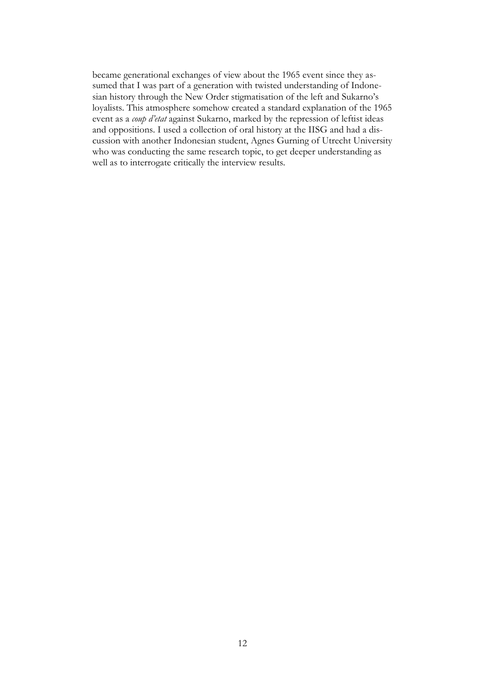became generational exchanges of view about the 1965 event since they assumed that I was part of a generation with twisted understanding of Indonesian history through the New Order stigmatisation of the left and Sukarno's loyalists. This atmosphere somehow created a standard explanation of the 1965 event as a *coup d'etat* against Sukarno, marked by the repression of leftist ideas and oppositions. I used a collection of oral history at the IISG and had a discussion with another Indonesian student, Agnes Gurning of Utrecht University who was conducting the same research topic, to get deeper understanding as well as to interrogate critically the interview results.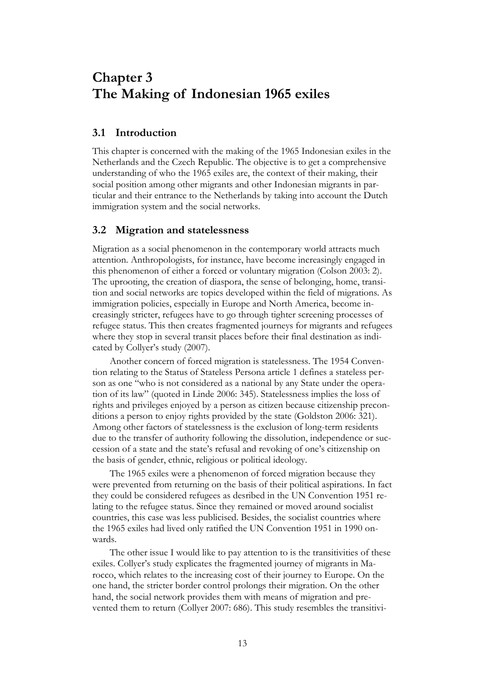## **Chapter 3 The Making of Indonesian 1965 exiles**

### **3.1 Introduction**

This chapter is concerned with the making of the 1965 Indonesian exiles in the Netherlands and the Czech Republic. The objective is to get a comprehensive understanding of who the 1965 exiles are, the context of their making, their social position among other migrants and other Indonesian migrants in particular and their entrance to the Netherlands by taking into account the Dutch immigration system and the social networks.

### **3.2 Migration and statelessness**

Migration as a social phenomenon in the contemporary world attracts much attention. Anthropologists, for instance, have become increasingly engaged in this phenomenon of either a forced or voluntary migration (Colson 2003: 2). The uprooting, the creation of diaspora, the sense of belonging, home, transition and social networks are topics developed within the field of migrations. As immigration policies, especially in Europe and North America, become increasingly stricter, refugees have to go through tighter screening processes of refugee status. This then creates fragmented journeys for migrants and refugees where they stop in several transit places before their final destination as indicated by Collyer's study (2007).

Another concern of forced migration is statelessness. The 1954 Convention relating to the Status of Stateless Persona article 1 defines a stateless person as one "who is not considered as a national by any State under the operation of its law" (quoted in Linde 2006: 345). Statelessness implies the loss of rights and privileges enjoyed by a person as citizen because citizenship preconditions a person to enjoy rights provided by the state (Goldston 2006: 321). Among other factors of statelessness is the exclusion of long-term residents due to the transfer of authority following the dissolution, independence or succession of a state and the state"s refusal and revoking of one"s citizenship on the basis of gender, ethnic, religious or political ideology.

The 1965 exiles were a phenomenon of forced migration because they were prevented from returning on the basis of their political aspirations. In fact they could be considered refugees as desribed in the UN Convention 1951 relating to the refugee status. Since they remained or moved around socialist countries, this case was less publicised. Besides, the socialist countries where the 1965 exiles had lived only ratified the UN Convention 1951 in 1990 onwards.

The other issue I would like to pay attention to is the transitivities of these exiles. Collyer's study explicates the fragmented journey of migrants in Marocco, which relates to the increasing cost of their journey to Europe. On the one hand, the stricter border control prolongs their migration. On the other hand, the social network provides them with means of migration and prevented them to return (Collyer 2007: 686). This study resembles the transitivi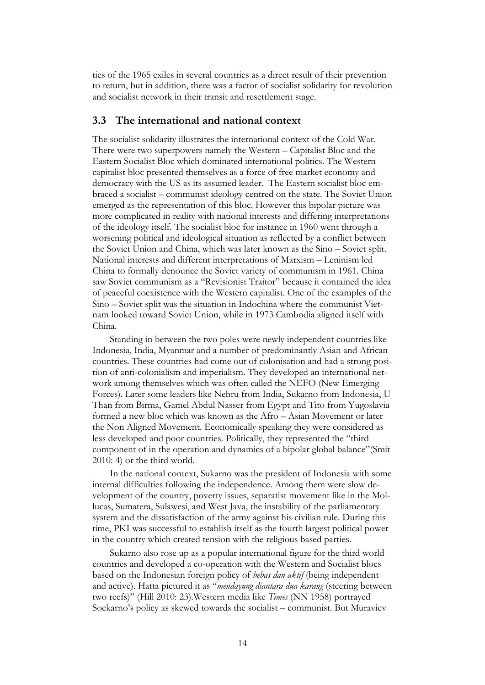ties of the 1965 exiles in several countries as a direct result of their prevention to return, but in addition, there was a factor of socialist solidarity for revolution and socialist network in their transit and resettlement stage.

#### **3.3 The international and national context**

The socialist solidarity illustrates the international context of the Cold War. There were two superpowers namely the Western – Capitalist Bloc and the Eastern Socialist Bloc which dominated international politics. The Western capitalist bloc presented themselves as a force of free market economy and democracy with the US as its assumed leader. The Eastern socialist bloc embraced a socialist – communist ideology centred on the state. The Soviet Union emerged as the representation of this bloc. However this bipolar picture was more complicated in reality with national interests and differing interpretations of the ideology itself. The socialist bloc for instance in 1960 went through a worsening political and ideological situation as reflected by a conflict between the Soviet Union and China, which was later known as the Sino – Soviet split. National interests and different interpretations of Marxism – Leninism led China to formally denounce the Soviet variety of communism in 1961. China saw Soviet communism as a "Revisionist Traitor" because it contained the idea of peaceful coexistence with the Western capitalist. One of the examples of the Sino – Soviet split was the situation in Indochina where the communist Vietnam looked toward Soviet Union, while in 1973 Cambodia aligned itself with China.

Standing in between the two poles were newly independent countries like Indonesia, India, Myanmar and a number of predominantly Asian and African countries. These countries had come out of colonisation and had a strong position of anti-colonialism and imperialism. They developed an international network among themselves which was often called the NEFO (New Emerging Forces). Later some leaders like Nehru from India, Sukarno from Indonesia, U Than from Birma, Gamel Abdul Nasser from Egypt and Tito from Yugoslavia formed a new bloc which was known as the Afro – Asian Movement or later the Non Aligned Movement. Economically speaking they were considered as less developed and poor countries. Politically, they represented the "third component of in the operation and dynamics of a bipolar global balance"(Smit 2010: 4) or the third world.

In the national context, Sukarno was the president of Indonesia with some internal difficulties following the independence. Among them were slow development of the country, poverty issues, separatist movement like in the Mollucas, Sumatera, Sulawesi, and West Java, the instability of the parliamentary system and the dissatisfaction of the army against his civilian rule. During this time, PKI was successful to establish itself as the fourth largest political power in the country which created tension with the religious based parties.

Sukarno also rose up as a popular international figure for the third world countries and developed a co-operation with the Western and Socialist blocs based on the Indonesian foreign policy of *bebas dan aktif* (being independent and active). Hatta pictured it as "*mendayung diantara dua karang* (steering between two reefs)" (Hill 2010: 23).Western media like *Times* (NN 1958) portrayed Soekarno's policy as skewed towards the socialist – communist. But Muraviev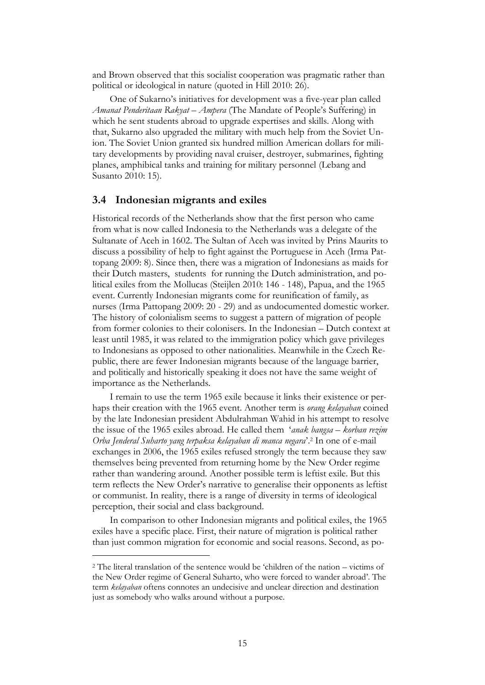and Brown observed that this socialist cooperation was pragmatic rather than political or ideological in nature (quoted in Hill 2010: 26).

One of Sukarno"s initiatives for development was a five-year plan called *Amanat Penderitaan Rakyat* – *Ampera* (The Mandate of People"s Suffering) in which he sent students abroad to upgrade expertises and skills. Along with that, Sukarno also upgraded the military with much help from the Soviet Union. The Soviet Union granted six hundred million American dollars for military developments by providing naval cruiser, destroyer, submarines, fighting planes, amphibical tanks and training for military personnel (Lebang and Susanto 2010: 15).

#### **3.4 Indonesian migrants and exiles**

Historical records of the Netherlands show that the first person who came from what is now called Indonesia to the Netherlands was a delegate of the Sultanate of Aceh in 1602. The Sultan of Aceh was invited by Prins Maurits to discuss a possibility of help to fight against the Portuguese in Aceh (Irma Pattopang 2009: 8). Since then, there was a migration of Indonesians as maids for their Dutch masters, students for running the Dutch administration, and political exiles from the Mollucas (Steijlen 2010: 146 - 148), Papua, and the 1965 event. Currently Indonesian migrants come for reunification of family, as nurses (Irma Pattopang 2009: 20 - 29) and as undocumented domestic worker. The history of colonialism seems to suggest a pattern of migration of people from former colonies to their colonisers. In the Indonesian – Dutch context at least until 1985, it was related to the immigration policy which gave privileges to Indonesians as opposed to other nationalities. Meanwhile in the Czech Republic, there are fewer Indonesian migrants because of the language barrier, and politically and historically speaking it does not have the same weight of importance as the Netherlands.

I remain to use the term 1965 exile because it links their existence or perhaps their creation with the 1965 event. Another term is *orang kelayaban* coined by the late Indonesian president Abdulrahman Wahid in his attempt to resolve the issue of the 1965 exiles abroad. He called them "*anak bangsa – korban rezim Orba Jenderal Suharto yang terpaksa kelayaban di manca negara*".<sup>2</sup> In one of e-mail exchanges in 2006, the 1965 exiles refused strongly the term because they saw themselves being prevented from returning home by the New Order regime rather than wandering around. Another possible term is leftist exile. But this term reflects the New Order's narrative to generalise their opponents as leftist or communist. In reality, there is a range of diversity in terms of ideological perception, their social and class background.

In comparison to other Indonesian migrants and political exiles, the 1965 exiles have a specific place. First, their nature of migration is political rather than just common migration for economic and social reasons. Second, as po-

 $\overline{a}$ 

<sup>2</sup> The literal translation of the sentence would be "children of the nation – victims of the New Order regime of General Suharto, who were forced to wander abroad". The term *kelayaban* oftens connotes an undecisive and unclear direction and destination just as somebody who walks around without a purpose.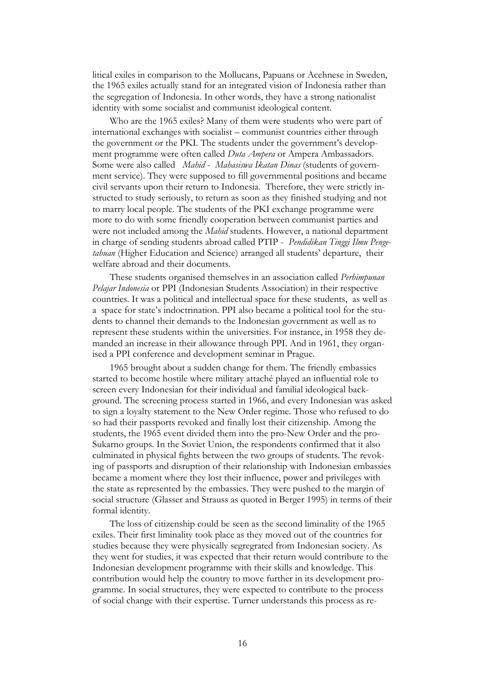litical exiles in comparison to the Mollucans, Papuans or Acehnese in Sweden, the 1965 exiles actually stand for an integrated vision of Indonesia rather than the segregation of Indonesia. In other words, they have a strong nationalist identity with some socialist and communist ideological content.

Who are the 1965 exiles? Many of them were students who were part of international exchanges with socialist – communist countries either through the government or the PKI. The students under the government's development programme were often called *Duta Ampera* or Ampera Ambassadors. Some were also called *Mahid* - *Mahasiswa Ikatan Dinas* (students of government service). They were supposed to fill governmental positions and became civil servants upon their return to Indonesia. Therefore, they were strictly instructed to study seriously, to return as soon as they finished studying and not to marry local people. The students of the PKI exchange programme were more to do with some friendly cooperation between communist parties and were not included among the *Mahid* students. However, a national department in charge of sending students abroad called PTIP - *Pendidikan Tinggi Ilmu Pengetahuan* (Higher Education and Science) arranged all students" departure, their welfare abroad and their documents.

These students organised themselves in an association called *Perhimpunan Pelajar Indonesia* or PPI (Indonesian Students Association) in their respective countries. It was a political and intellectual space for these students, as well as a space for state"s indoctrination. PPI also became a political tool for the students to channel their demands to the Indonesian government as well as to represent these students within the universities. For instance, in 1958 they demanded an increase in their allowance through PPI. And in 1961, they organised a PPI conference and development seminar in Prague.

1965 brought about a sudden change for them. The friendly embassies started to become hostile where military attaché played an influential role to screen every Indonesian for their individual and familial ideological background. The screening process started in 1966, and every Indonesian was asked to sign a loyalty statement to the New Order regime. Those who refused to do so had their passports revoked and finally lost their citizenship. Among the students, the 1965 event divided them into the pro-New Order and the pro-Sukarno groups. In the Soviet Union, the respondents confirmed that it also culminated in physical fights between the two groups of students. The revoking of passports and disruption of their relationship with Indonesian embassies became a moment where they lost their influence, power and privileges with the state as represented by the embassies. They were pushed to the margin of social structure (Glasser and Strauss as quoted in Berger 1995) in terms of their formal identity.

The loss of citizenship could be seen as the second liminality of the 1965 exiles. Their first liminality took place as they moved out of the countries for studies because they were physically segregrated from Indonesian society. As they went for studies, it was expected that their return would contribute to the Indonesian development programme with their skills and knowledge. This contribution would help the country to move further in its development programme. In social structures, they were expected to contribute to the process of social change with their expertise. Turner understands this process as re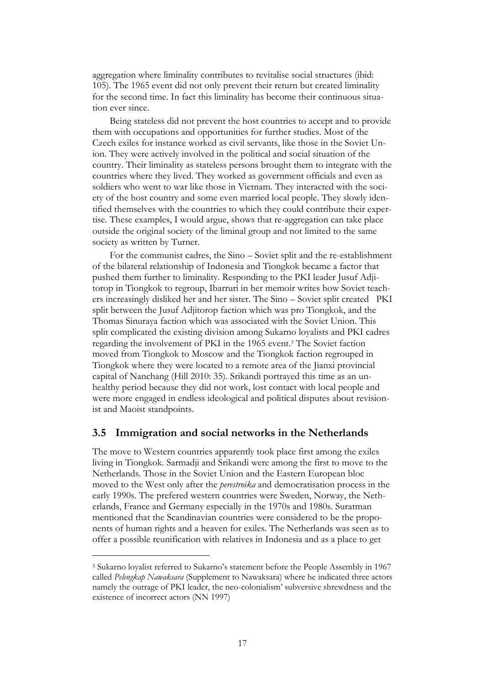aggregation where liminality contributes to revitalise social structures (ibid: 105). The 1965 event did not only prevent their return but created liminality for the second time. In fact this liminality has become their continuous situation ever since.

Being stateless did not prevent the host countries to accept and to provide them with occupations and opportunities for further studies. Most of the Czech exiles for instance worked as civil servants, like those in the Soviet Union. They were actively involved in the political and social situation of the country. Their liminality as stateless persons brought them to integrate with the countries where they lived. They worked as government officials and even as soldiers who went to war like those in Vietnam. They interacted with the society of the host country and some even married local people. They slowly identified themselves with the countries to which they could contribute their expertise. These examples, I would argue, shows that re-aggregation can take place outside the original society of the liminal group and not limited to the same society as written by Turner.

For the communist cadres, the Sino – Soviet split and the re-establishment of the bilateral relationship of Indonesia and Tiongkok became a factor that pushed them further to liminality. Responding to the PKI leader Jusuf Adjitorop in Tiongkok to regroup, Ibarruri in her memoir writes how Soviet teachers increasingly disliked her and her sister. The Sino – Soviet split created PKI split between the Jusuf Adjitorop faction which was pro Tiongkok, and the Thomas Sinuraya faction which was associated with the Soviet Union. This split complicated the existing division among Sukarno loyalists and PKI cadres regarding the involvement of PKI in the 1965 event.<sup>3</sup> The Soviet faction moved from Tiongkok to Moscow and the Tiongkok faction regrouped in Tiongkok where they were located to a remote area of the Jianxi provincial capital of Nanchang (Hill 2010: 35). Srikandi portrayed this time as an unhealthy period because they did not work, lost contact with local people and were more engaged in endless ideological and political disputes about revisionist and Maoist standpoints.

#### **3.5 Immigration and social networks in the Netherlands**

The move to Western countries apparently took place first among the exiles living in Tiongkok. Sarmadji and Srikandi were among the first to move to the Netherlands. Those in the Soviet Union and the Eastern European bloc moved to the West only after the *perestroika* and democratisation process in the early 1990s. The prefered western countries were Sweden, Norway, the Netherlands, France and Germany especially in the 1970s and 1980s. Suratman mentioned that the Scandinavian countries were considered to be the proponents of human rights and a heaven for exiles. The Netherlands was seen as to offer a possible reunification with relatives in Indonesia and as a place to get

 $\overline{a}$ 

<sup>3</sup> Sukarno loyalist referred to Sukarno"s statement before the People Assembly in 1967 called *Pelengkap Nawaksara* (Supplement to Nawaksara) where he indicated three actors namely the outrage of PKI leader, the neo-colonialism" subversive shrewdness and the existence of incorrect actors (NN 1997)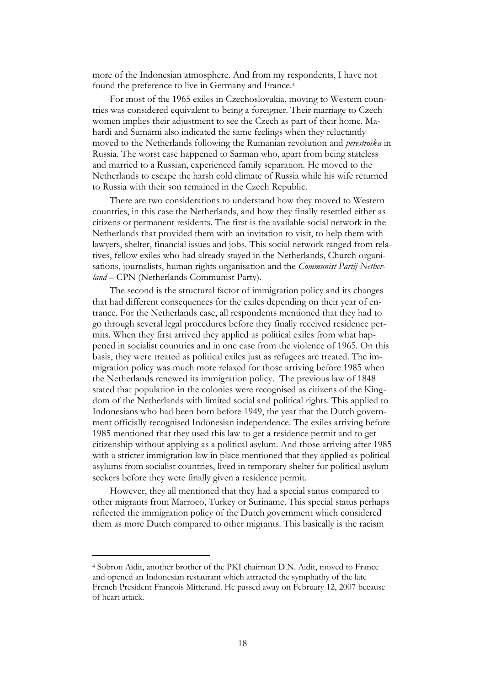more of the Indonesian atmosphere. And from my respondents, I have not found the preference to live in Germany and France.<sup>4</sup>

For most of the 1965 exiles in Czechoslovakia, moving to Western countries was considered equivalent to being a foreigner. Their marriage to Czech women implies their adjustment to see the Czech as part of their home. Mahardi and Sumarni also indicated the same feelings when they reluctantly moved to the Netherlands following the Rumanian revolution and *perestroika* in Russia. The worst case happened to Sarman who, apart from being stateless and married to a Russian, experienced family separation. He moved to the Netherlands to escape the harsh cold climate of Russia while his wife returned to Russia with their son remained in the Czech Republic.

There are two considerations to understand how they moved to Western countries, in this case the Netherlands, and how they finally resettled either as citizens or permanent residents. The first is the available social network in the Netherlands that provided them with an invitation to visit, to help them with lawyers, shelter, financial issues and jobs. This social network ranged from relatives, fellow exiles who had already stayed in the Netherlands, Church organisations, journalists, human rights organisation and the *Communist Partij Netherland* – CPN (Netherlands Communist Party).

The second is the structural factor of immigration policy and its changes that had different consequences for the exiles depending on their year of entrance. For the Netherlands case, all respondents mentioned that they had to go through several legal procedures before they finally received residence permits. When they first arrived they applied as political exiles from what happened in socialist countries and in one case from the violence of 1965. On this basis, they were treated as political exiles just as refugees are treated. The immigration policy was much more relaxed for those arriving before 1985 when the Netherlands renewed its immigration policy. The previous law of 1848 stated that population in the colonies were recognised as citizens of the Kingdom of the Netherlands with limited social and political rights. This applied to Indonesians who had been born before 1949, the year that the Dutch government officially recognised Indonesian independence. The exiles arriving before 1985 mentioned that they used this law to get a residence permit and to get citizenship without applying as a political asylum. And those arriving after 1985 with a stricter immigration law in place mentioned that they applied as political asylums from socialist countries, lived in temporary shelter for political asylum seekers before they were finally given a residence permit.

However, they all mentioned that they had a special status compared to other migrants from Marroco, Turkey or Suriname. This special status perhaps reflected the immigration policy of the Dutch government which considered them as more Dutch compared to other migrants. This basically is the racism

 $\overline{a}$ 

<sup>4</sup> Sobron Aidit, another brother of the PKI chairman D.N. Aidit, moved to France and opened an Indonesian restaurant which attracted the symphathy of the late French President Francois Mitterand. He passed away on February 12, 2007 because of heart attack.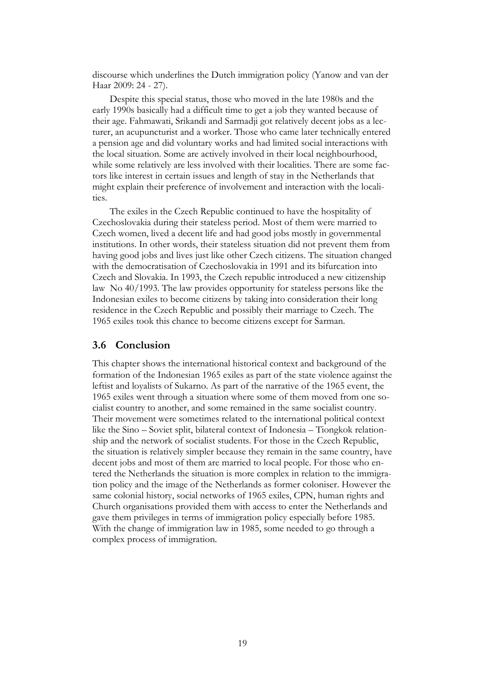discourse which underlines the Dutch immigration policy (Yanow and van der Haar 2009: 24 - 27).

Despite this special status, those who moved in the late 1980s and the early 1990s basically had a difficult time to get a job they wanted because of their age. Fahmawati, Srikandi and Sarmadji got relatively decent jobs as a lecturer, an acupuncturist and a worker. Those who came later technically entered a pension age and did voluntary works and had limited social interactions with the local situation. Some are actively involved in their local neighbourhood, while some relatively are less involved with their localities. There are some factors like interest in certain issues and length of stay in the Netherlands that might explain their preference of involvement and interaction with the localities.

The exiles in the Czech Republic continued to have the hospitality of Czechoslovakia during their stateless period. Most of them were married to Czech women, lived a decent life and had good jobs mostly in governmental institutions. In other words, their stateless situation did not prevent them from having good jobs and lives just like other Czech citizens. The situation changed with the democratisation of Czechoslovakia in 1991 and its bifurcation into Czech and Slovakia. In 1993, the Czech republic introduced a new citizenship law No 40/1993. The law provides opportunity for stateless persons like the Indonesian exiles to become citizens by taking into consideration their long residence in the Czech Republic and possibly their marriage to Czech. The 1965 exiles took this chance to become citizens except for Sarman.

#### **3.6 Conclusion**

This chapter shows the international historical context and background of the formation of the Indonesian 1965 exiles as part of the state violence against the leftist and loyalists of Sukarno. As part of the narrative of the 1965 event, the 1965 exiles went through a situation where some of them moved from one socialist country to another, and some remained in the same socialist country. Their movement were sometimes related to the international political context like the Sino – Soviet split, bilateral context of Indonesia – Tiongkok relationship and the network of socialist students. For those in the Czech Republic, the situation is relatively simpler because they remain in the same country, have decent jobs and most of them are married to local people. For those who entered the Netherlands the situation is more complex in relation to the immigration policy and the image of the Netherlands as former coloniser. However the same colonial history, social networks of 1965 exiles, CPN, human rights and Church organisations provided them with access to enter the Netherlands and gave them privileges in terms of immigration policy especially before 1985. With the change of immigration law in 1985, some needed to go through a complex process of immigration.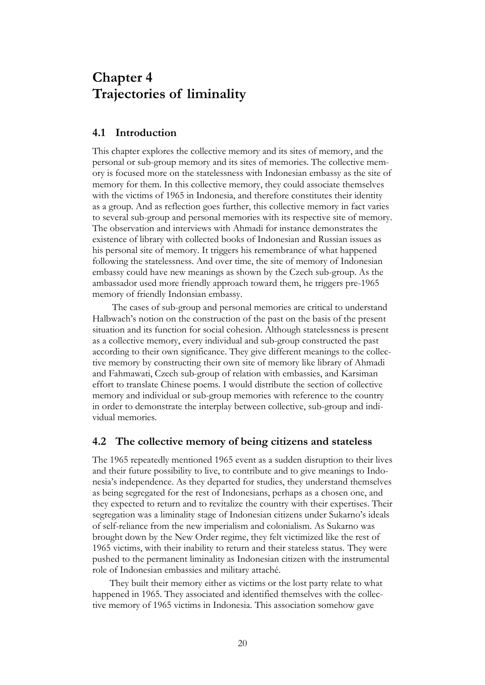## **Chapter 4 Trajectories of liminality**

## <span id="page-25-0"></span>**4.1 Introduction**

This chapter explores the collective memory and its sites of memory, and the personal or sub-group memory and its sites of memories. The collective memory is focused more on the statelessness with Indonesian embassy as the site of memory for them. In this collective memory, they could associate themselves with the victims of 1965 in Indonesia, and therefore constitutes their identity as a group. And as reflection goes further, this collective memory in fact varies to several sub-group and personal memories with its respective site of memory. The observation and interviews with Ahmadi for instance demonstrates the existence of library with collected books of Indonesian and Russian issues as his personal site of memory. It triggers his remembrance of what happened following the statelessness. And over time, the site of memory of Indonesian embassy could have new meanings as shown by the Czech sub-group. As the ambassador used more friendly approach toward them, he triggers pre-1965 memory of friendly Indonsian embassy.

The cases of sub-group and personal memories are critical to understand Halbwach"s notion on the construction of the past on the basis of the present situation and its function for social cohesion. Although statelessness is present as a collective memory, every individual and sub-group constructed the past according to their own significance. They give different meanings to the collective memory by constructing their own site of memory like library of Ahmadi and Fahmawati, Czech sub-group of relation with embassies, and Karsiman effort to translate Chinese poems. I would distribute the section of collective memory and individual or sub-group memories with reference to the country in order to demonstrate the interplay between collective, sub-group and individual memories.

### **4.2 The collective memory of being citizens and stateless**

The 1965 repeatedly mentioned 1965 event as a sudden disruption to their lives and their future possibility to live, to contribute and to give meanings to Indonesia"s independence. As they departed for studies, they understand themselves as being segregated for the rest of Indonesians, perhaps as a chosen one, and they expected to return and to revitalize the country with their expertises. Their segregation was a liminality stage of Indonesian citizens under Sukarno"s ideals of self-reliance from the new imperialism and colonialism. As Sukarno was brought down by the New Order regime, they felt victimized like the rest of 1965 victims, with their inability to return and their stateless status. They were pushed to the permanent liminality as Indonesian citizen with the instrumental role of Indonesian embassies and military attaché.

They built their memory either as victims or the lost party relate to what happened in 1965. They associated and identified themselves with the collective memory of 1965 victims in Indonesia. This association somehow gave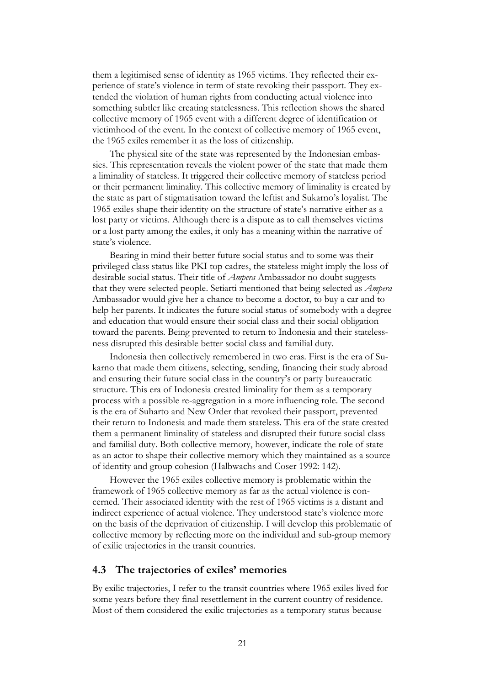them a legitimised sense of identity as 1965 victims. They reflected their experience of state"s violence in term of state revoking their passport. They extended the violation of human rights from conducting actual violence into something subtler like creating statelessness. This reflection shows the shared collective memory of 1965 event with a different degree of identification or victimhood of the event. In the context of collective memory of 1965 event, the 1965 exiles remember it as the loss of citizenship.

The physical site of the state was represented by the Indonesian embassies. This representation reveals the violent power of the state that made them a liminality of stateless. It triggered their collective memory of stateless period or their permanent liminality. This collective memory of liminality is created by the state as part of stigmatisation toward the leftist and Sukarno"s loyalist. The 1965 exiles shape their identity on the structure of state"s narrative either as a lost party or victims. Although there is a dispute as to call themselves victims or a lost party among the exiles, it only has a meaning within the narrative of state's violence.

Bearing in mind their better future social status and to some was their privileged class status like PKI top cadres, the stateless might imply the loss of desirable social status. Their title of *Ampera* Ambassador no doubt suggests that they were selected people. Setiarti mentioned that being selected as *Ampera* Ambassador would give her a chance to become a doctor, to buy a car and to help her parents. It indicates the future social status of somebody with a degree and education that would ensure their social class and their social obligation toward the parents. Being prevented to return to Indonesia and their statelessness disrupted this desirable better social class and familial duty.

Indonesia then collectively remembered in two eras. First is the era of Sukarno that made them citizens, selecting, sending, financing their study abroad and ensuring their future social class in the country"s or party bureaucratic structure. This era of Indonesia created liminality for them as a temporary process with a possible re-aggregation in a more influencing role. The second is the era of Suharto and New Order that revoked their passport, prevented their return to Indonesia and made them stateless. This era of the state created them a permanent liminality of stateless and disrupted their future social class and familial duty. Both collective memory, however, indicate the role of state as an actor to shape their collective memory which they maintained as a source of identity and group cohesion (Halbwachs and Coser 1992: 142).

However the 1965 exiles collective memory is problematic within the framework of 1965 collective memory as far as the actual violence is concerned. Their associated identity with the rest of 1965 victims is a distant and indirect experience of actual violence. They understood state's violence more on the basis of the deprivation of citizenship. I will develop this problematic of collective memory by reflecting more on the individual and sub-group memory of exilic trajectories in the transit countries.

#### **4.3 The trajectories of exiles' memories**

By exilic trajectories, I refer to the transit countries where 1965 exiles lived for some years before they final resettlement in the current country of residence. Most of them considered the exilic trajectories as a temporary status because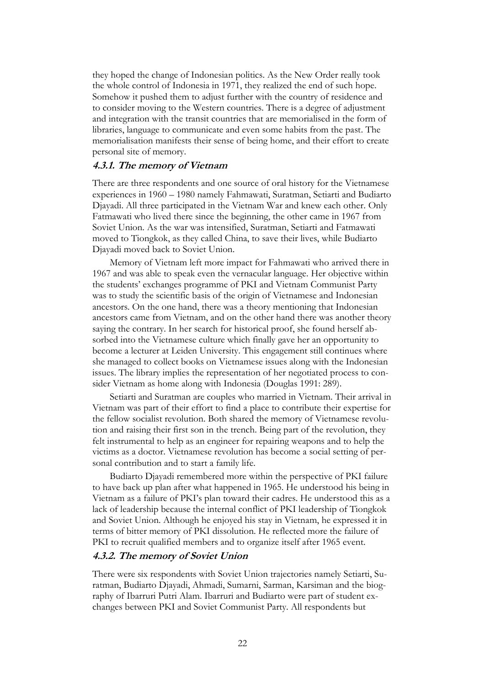they hoped the change of Indonesian politics. As the New Order really took the whole control of Indonesia in 1971, they realized the end of such hope. Somehow it pushed them to adjust further with the country of residence and to consider moving to the Western countries. There is a degree of adjustment and integration with the transit countries that are memorialised in the form of libraries, language to communicate and even some habits from the past. The memorialisation manifests their sense of being home, and their effort to create personal site of memory.

#### **4.3.1. The memory of Vietnam**

There are three respondents and one source of oral history for the Vietnamese experiences in 1960 – 1980 namely Fahmawati, Suratman, Setiarti and Budiarto Djayadi. All three participated in the Vietnam War and knew each other. Only Fatmawati who lived there since the beginning, the other came in 1967 from Soviet Union. As the war was intensified, Suratman, Setiarti and Fatmawati moved to Tiongkok, as they called China, to save their lives, while Budiarto Djayadi moved back to Soviet Union.

Memory of Vietnam left more impact for Fahmawati who arrived there in 1967 and was able to speak even the vernacular language. Her objective within the students" exchanges programme of PKI and Vietnam Communist Party was to study the scientific basis of the origin of Vietnamese and Indonesian ancestors. On the one hand, there was a theory mentioning that Indonesian ancestors came from Vietnam, and on the other hand there was another theory saying the contrary. In her search for historical proof, she found herself absorbed into the Vietnamese culture which finally gave her an opportunity to become a lecturer at Leiden University. This engagement still continues where she managed to collect books on Vietnamese issues along with the Indonesian issues. The library implies the representation of her negotiated process to consider Vietnam as home along with Indonesia (Douglas 1991: 289).

Setiarti and Suratman are couples who married in Vietnam. Their arrival in Vietnam was part of their effort to find a place to contribute their expertise for the fellow socialist revolution. Both shared the memory of Vietnamese revolution and raising their first son in the trench. Being part of the revolution, they felt instrumental to help as an engineer for repairing weapons and to help the victims as a doctor. Vietnamese revolution has become a social setting of personal contribution and to start a family life.

Budiarto Djayadi remembered more within the perspective of PKI failure to have back up plan after what happened in 1965. He understood his being in Vietnam as a failure of PKI"s plan toward their cadres. He understood this as a lack of leadership because the internal conflict of PKI leadership of Tiongkok and Soviet Union. Although he enjoyed his stay in Vietnam, he expressed it in terms of bitter memory of PKI dissolution. He reflected more the failure of PKI to recruit qualified members and to organize itself after 1965 event.

#### **4.3.2. The memory of Soviet Union**

There were six respondents with Soviet Union trajectories namely Setiarti, Suratman, Budiarto Djayadi, Ahmadi, Sumarni, Sarman, Karsiman and the biography of Ibarruri Putri Alam. Ibarruri and Budiarto were part of student exchanges between PKI and Soviet Communist Party. All respondents but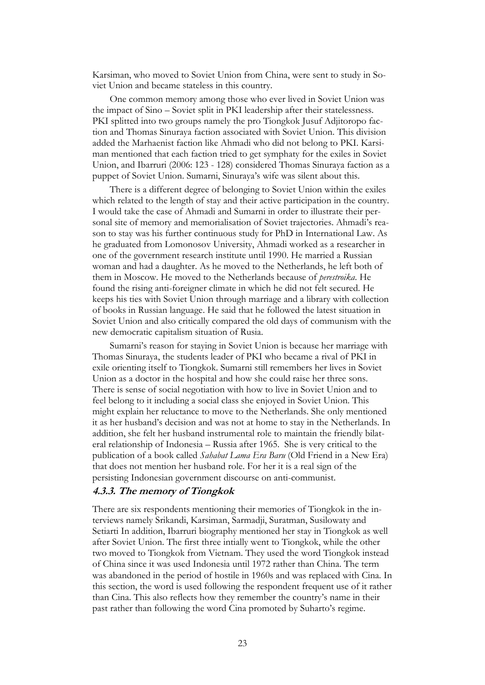Karsiman, who moved to Soviet Union from China, were sent to study in Soviet Union and became stateless in this country.

One common memory among those who ever lived in Soviet Union was the impact of Sino – Soviet split in PKI leadership after their statelessness. PKI splitted into two groups namely the pro Tiongkok Jusuf Adjitoropo faction and Thomas Sinuraya faction associated with Soviet Union. This division added the Marhaenist faction like Ahmadi who did not belong to PKI. Karsiman mentioned that each faction tried to get symphaty for the exiles in Soviet Union, and Ibarruri (2006: 123 - 128) considered Thomas Sinuraya faction as a puppet of Soviet Union. Sumarni, Sinuraya"s wife was silent about this.

There is a different degree of belonging to Soviet Union within the exiles which related to the length of stay and their active participation in the country. I would take the case of Ahmadi and Sumarni in order to illustrate their personal site of memory and memorialisation of Soviet trajectories. Ahmadi's reason to stay was his further continuous study for PhD in International Law. As he graduated from Lomonosov University, Ahmadi worked as a researcher in one of the government research institute until 1990. He married a Russian woman and had a daughter. As he moved to the Netherlands, he left both of them in Moscow. He moved to the Netherlands because of *perestroika*. He found the rising anti-foreigner climate in which he did not felt secured. He keeps his ties with Soviet Union through marriage and a library with collection of books in Russian language. He said that he followed the latest situation in Soviet Union and also critically compared the old days of communism with the new democratic capitalism situation of Rusia.

Sumarni"s reason for staying in Soviet Union is because her marriage with Thomas Sinuraya, the students leader of PKI who became a rival of PKI in exile orienting itself to Tiongkok. Sumarni still remembers her lives in Soviet Union as a doctor in the hospital and how she could raise her three sons. There is sense of social negotiation with how to live in Soviet Union and to feel belong to it including a social class she enjoyed in Soviet Union. This might explain her reluctance to move to the Netherlands. She only mentioned it as her husband"s decision and was not at home to stay in the Netherlands. In addition, she felt her husband instrumental role to maintain the friendly bilateral relationship of Indonesia – Russia after 1965. She is very critical to the publication of a book called *Sahabat Lama Era Baru* (Old Friend in a New Era) that does not mention her husband role. For her it is a real sign of the persisting Indonesian government discourse on anti-communist.

#### **4.3.3. The memory of Tiongkok**

There are six respondents mentioning their memories of Tiongkok in the interviews namely Srikandi, Karsiman, Sarmadji, Suratman, Susilowaty and Setiarti In addition, Ibarruri biography mentioned her stay in Tiongkok as well after Soviet Union. The first three intially went to Tiongkok, while the other two moved to Tiongkok from Vietnam. They used the word Tiongkok instead of China since it was used Indonesia until 1972 rather than China. The term was abandoned in the period of hostile in 1960s and was replaced with Cina. In this section, the word is used following the respondent frequent use of it rather than Cina. This also reflects how they remember the country"s name in their past rather than following the word Cina promoted by Suharto's regime.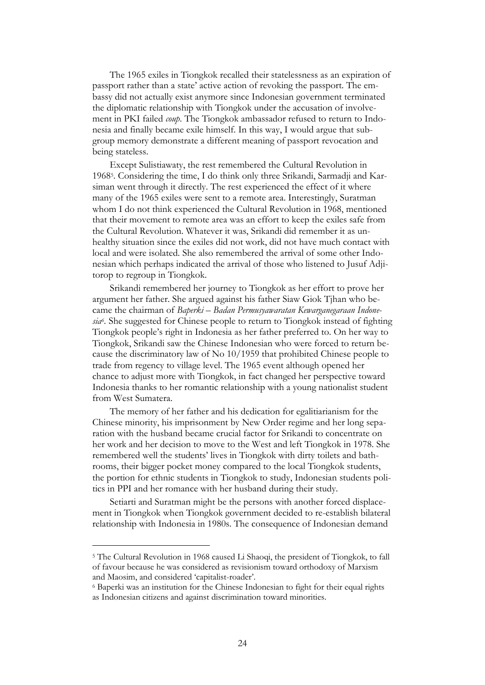The 1965 exiles in Tiongkok recalled their statelessness as an expiration of passport rather than a state" active action of revoking the passport. The embassy did not actually exist anymore since Indonesian government terminated the diplomatic relationship with Tiongkok under the accusation of involvement in PKI failed *coup*. The Tiongkok ambassador refused to return to Indonesia and finally became exile himself. In this way, I would argue that subgroup memory demonstrate a different meaning of passport revocation and being stateless.

Except Sulistiawaty, the rest remembered the Cultural Revolution in 1968<sup>5</sup> . Considering the time, I do think only three Srikandi, Sarmadji and Karsiman went through it directly. The rest experienced the effect of it where many of the 1965 exiles were sent to a remote area. Interestingly, Suratman whom I do not think experienced the Cultural Revolution in 1968, mentioned that their movement to remote area was an effort to keep the exiles safe from the Cultural Revolution. Whatever it was, Srikandi did remember it as unhealthy situation since the exiles did not work, did not have much contact with local and were isolated. She also remembered the arrival of some other Indonesian which perhaps indicated the arrival of those who listened to Jusuf Adjitorop to regroup in Tiongkok.

Srikandi remembered her journey to Tiongkok as her effort to prove her argument her father. She argued against his father Siaw Giok Tjhan who became the chairman of *Baperki – Badan Permusyawaratan Kewarganegaraan Indonesia<sup>6</sup> .* She suggested for Chinese people to return to Tiongkok instead of fighting Tiongkok people"s right in Indonesia as her father preferred to. On her way to Tiongkok, Srikandi saw the Chinese Indonesian who were forced to return because the discriminatory law of No 10/1959 that prohibited Chinese people to trade from regency to village level. The 1965 event although opened her chance to adjust more with Tiongkok, in fact changed her perspective toward Indonesia thanks to her romantic relationship with a young nationalist student from West Sumatera.

The memory of her father and his dedication for egalitiarianism for the Chinese minority, his imprisonment by New Order regime and her long separation with the husband became crucial factor for Srikandi to concentrate on her work and her decision to move to the West and left Tiongkok in 1978. She remembered well the students" lives in Tiongkok with dirty toilets and bathrooms, their bigger pocket money compared to the local Tiongkok students, the portion for ethnic students in Tiongkok to study, Indonesian students politics in PPI and her romance with her husband during their study.

Setiarti and Suratman might be the persons with another forced displacement in Tiongkok when Tiongkok government decided to re-establish bilateral relationship with Indonesia in 1980s. The consequence of Indonesian demand

 $\overline{a}$ 

<sup>5</sup> The Cultural Revolution in 1968 caused Li Shaoqi, the president of Tiongkok, to fall of favour because he was considered as revisionism toward orthodoxy of Marxism and Maosim, and considered "capitalist-roader".

<sup>6</sup> Baperki was an institution for the Chinese Indonesian to fight for their equal rights as Indonesian citizens and against discrimination toward minorities.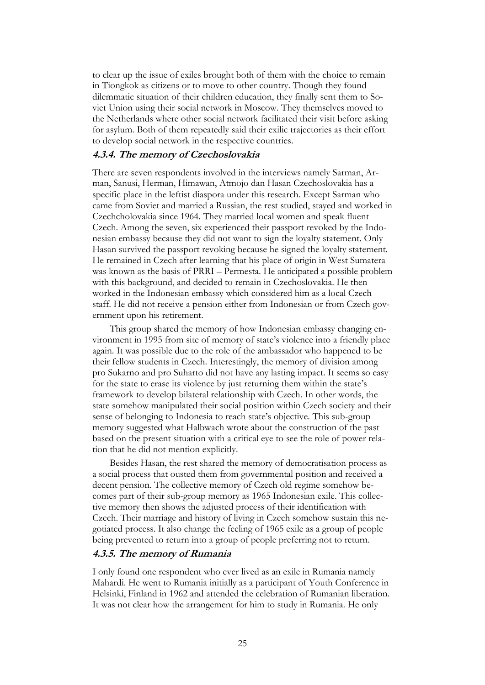to clear up the issue of exiles brought both of them with the choice to remain in Tiongkok as citizens or to move to other country. Though they found dilemmatic situation of their children education, they finally sent them to Soviet Union using their social network in Moscow. They themselves moved to the Netherlands where other social network facilitated their visit before asking for asylum. Both of them repeatedly said their exilic trajectories as their effort to develop social network in the respective countries.

#### **4.3.4. The memory of Czechoslovakia**

There are seven respondents involved in the interviews namely Sarman, Arman, Sanusi, Herman, Himawan, Atmojo dan Hasan Czechoslovakia has a specific place in the leftist diaspora under this research. Except Sarman who came from Soviet and married a Russian, the rest studied, stayed and worked in Czechcholovakia since 1964. They married local women and speak fluent Czech. Among the seven, six experienced their passport revoked by the Indonesian embassy because they did not want to sign the loyalty statement. Only Hasan survived the passport revoking because he signed the loyalty statement. He remained in Czech after learning that his place of origin in West Sumatera was known as the basis of PRRI – Permesta. He anticipated a possible problem with this background, and decided to remain in Czechoslovakia. He then worked in the Indonesian embassy which considered him as a local Czech staff. He did not receive a pension either from Indonesian or from Czech government upon his retirement.

This group shared the memory of how Indonesian embassy changing environment in 1995 from site of memory of state"s violence into a friendly place again. It was possible due to the role of the ambassador who happened to be their fellow students in Czech. Interestingly, the memory of division among pro Sukarno and pro Suharto did not have any lasting impact. It seems so easy for the state to erase its violence by just returning them within the state"s framework to develop bilateral relationship with Czech. In other words, the state somehow manipulated their social position within Czech society and their sense of belonging to Indonesia to reach state's objective. This sub-group memory suggested what Halbwach wrote about the construction of the past based on the present situation with a critical eye to see the role of power relation that he did not mention explicitly.

Besides Hasan, the rest shared the memory of democratisation process as a social process that ousted them from governmental position and received a decent pension. The collective memory of Czech old regime somehow becomes part of their sub-group memory as 1965 Indonesian exile. This collective memory then shows the adjusted process of their identification with Czech. Their marriage and history of living in Czech somehow sustain this negotiated process. It also change the feeling of 1965 exile as a group of people being prevented to return into a group of people preferring not to return.

#### **4.3.5. The memory of Rumania**

I only found one respondent who ever lived as an exile in Rumania namely Mahardi. He went to Rumania initially as a participant of Youth Conference in Helsinki, Finland in 1962 and attended the celebration of Rumanian liberation. It was not clear how the arrangement for him to study in Rumania. He only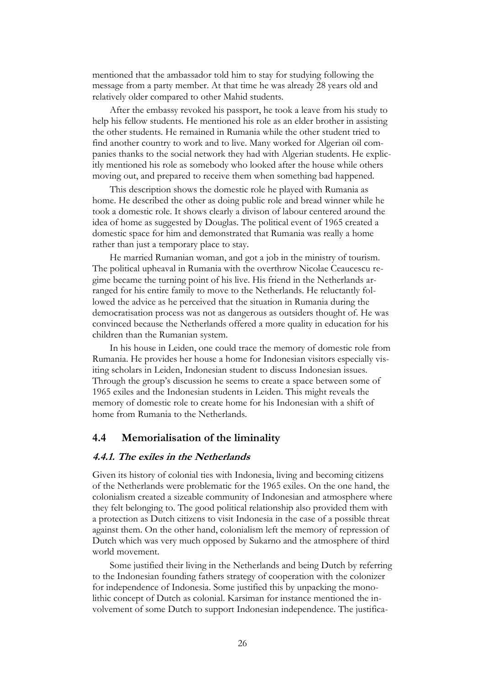mentioned that the ambassador told him to stay for studying following the message from a party member. At that time he was already 28 years old and relatively older compared to other Mahid students.

After the embassy revoked his passport, he took a leave from his study to help his fellow students. He mentioned his role as an elder brother in assisting the other students. He remained in Rumania while the other student tried to find another country to work and to live. Many worked for Algerian oil companies thanks to the social network they had with Algerian students. He explicitly mentioned his role as somebody who looked after the house while others moving out, and prepared to receive them when something bad happened.

This description shows the domestic role he played with Rumania as home. He described the other as doing public role and bread winner while he took a domestic role. It shows clearly a divison of labour centered around the idea of home as suggested by Douglas. The political event of 1965 created a domestic space for him and demonstrated that Rumania was really a home rather than just a temporary place to stay.

He married Rumanian woman, and got a job in the ministry of tourism. The political upheaval in Rumania with the overthrow Nicolae Ceaucescu regime became the turning point of his live. His friend in the Netherlands arranged for his entire family to move to the Netherlands. He reluctantly followed the advice as he perceived that the situation in Rumania during the democratisation process was not as dangerous as outsiders thought of. He was convinced because the Netherlands offered a more quality in education for his children than the Rumanian system.

In his house in Leiden, one could trace the memory of domestic role from Rumania. He provides her house a home for Indonesian visitors especially visiting scholars in Leiden, Indonesian student to discuss Indonesian issues. Through the group"s discussion he seems to create a space between some of 1965 exiles and the Indonesian students in Leiden. This might reveals the memory of domestic role to create home for his Indonesian with a shift of home from Rumania to the Netherlands.

#### **4.4 Memorialisation of the liminality**

#### **4.4.1. The exiles in the Netherlands**

Given its history of colonial ties with Indonesia, living and becoming citizens of the Netherlands were problematic for the 1965 exiles. On the one hand, the colonialism created a sizeable community of Indonesian and atmosphere where they felt belonging to. The good political relationship also provided them with a protection as Dutch citizens to visit Indonesia in the case of a possible threat against them. On the other hand, colonialism left the memory of repression of Dutch which was very much opposed by Sukarno and the atmosphere of third world movement.

Some justified their living in the Netherlands and being Dutch by referring to the Indonesian founding fathers strategy of cooperation with the colonizer for independence of Indonesia. Some justified this by unpacking the monolithic concept of Dutch as colonial. Karsiman for instance mentioned the involvement of some Dutch to support Indonesian independence. The justifica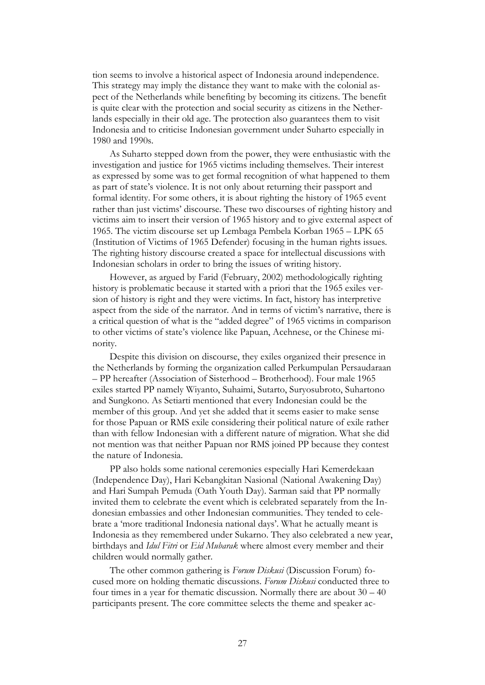tion seems to involve a historical aspect of Indonesia around independence. This strategy may imply the distance they want to make with the colonial aspect of the Netherlands while benefiting by becoming its citizens. The benefit is quite clear with the protection and social security as citizens in the Netherlands especially in their old age. The protection also guarantees them to visit Indonesia and to criticise Indonesian government under Suharto especially in 1980 and 1990s.

As Suharto stepped down from the power, they were enthusiastic with the investigation and justice for 1965 victims including themselves. Their interest as expressed by some was to get formal recognition of what happened to them as part of state's violence. It is not only about returning their passport and formal identity. For some others, it is about righting the history of 1965 event rather than just victims' discourse. These two discourses of righting history and victims aim to insert their version of 1965 history and to give external aspect of 1965. The victim discourse set up Lembaga Pembela Korban 1965 – LPK 65 (Institution of Victims of 1965 Defender) focusing in the human rights issues. The righting history discourse created a space for intellectual discussions with Indonesian scholars in order to bring the issues of writing history.

However, as argued by Farid (February, 2002) methodologically righting history is problematic because it started with a priori that the 1965 exiles version of history is right and they were victims. In fact, history has interpretive aspect from the side of the narrator. And in terms of victim"s narrative, there is a critical question of what is the "added degree" of 1965 victims in comparison to other victims of state"s violence like Papuan, Acehnese, or the Chinese minority.

Despite this division on discourse, they exiles organized their presence in the Netherlands by forming the organization called Perkumpulan Persaudaraan – PP hereafter (Association of Sisterhood – Brotherhood). Four male 1965 exiles started PP namely Wiyanto, Suhaimi, Sutarto, Suryosubroto, Suhartono and Sungkono. As Setiarti mentioned that every Indonesian could be the member of this group. And yet she added that it seems easier to make sense for those Papuan or RMS exile considering their political nature of exile rather than with fellow Indonesian with a different nature of migration. What she did not mention was that neither Papuan nor RMS joined PP because they contest the nature of Indonesia.

PP also holds some national ceremonies especially Hari Kemerdekaan (Independence Day), Hari Kebangkitan Nasional (National Awakening Day) and Hari Sumpah Pemuda (Oath Youth Day). Sarman said that PP normally invited them to celebrate the event which is celebrated separately from the Indonesian embassies and other Indonesian communities. They tended to celebrate a "more traditional Indonesia national days". What he actually meant is Indonesia as they remembered under Sukarno. They also celebrated a new year, birthdays and *Idul Fitri* or *Eid Mubarak* where almost every member and their children would normally gather.

The other common gathering is *Forum Diskusi* (Discussion Forum) focused more on holding thematic discussions. *Forum Diskusi* conducted three to four times in a year for thematic discussion. Normally there are about  $30 - 40$ participants present. The core committee selects the theme and speaker ac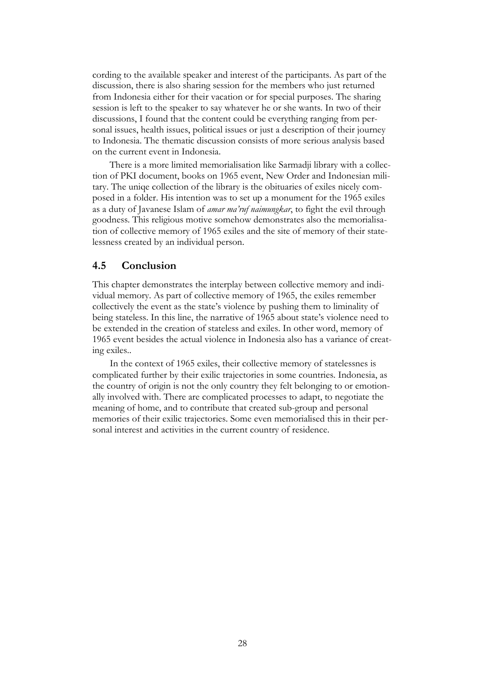cording to the available speaker and interest of the participants. As part of the discussion, there is also sharing session for the members who just returned from Indonesia either for their vacation or for special purposes. The sharing session is left to the speaker to say whatever he or she wants. In two of their discussions, I found that the content could be everything ranging from personal issues, health issues, political issues or just a description of their journey to Indonesia. The thematic discussion consists of more serious analysis based on the current event in Indonesia.

There is a more limited memorialisation like Sarmadji library with a collection of PKI document, books on 1965 event, New Order and Indonesian military. The uniqe collection of the library is the obituaries of exiles nicely composed in a folder. His intention was to set up a monument for the 1965 exiles as a duty of Javanese Islam of *amar ma'ruf naimungkar*, to fight the evil through goodness. This religious motive somehow demonstrates also the memorialisation of collective memory of 1965 exiles and the site of memory of their statelessness created by an individual person.

#### **4.5 Conclusion**

This chapter demonstrates the interplay between collective memory and individual memory. As part of collective memory of 1965, the exiles remember collectively the event as the state"s violence by pushing them to liminality of being stateless. In this line, the narrative of 1965 about state's violence need to be extended in the creation of stateless and exiles. In other word, memory of 1965 event besides the actual violence in Indonesia also has a variance of creating exiles..

In the context of 1965 exiles, their collective memory of statelessnes is complicated further by their exilic trajectories in some countries. Indonesia, as the country of origin is not the only country they felt belonging to or emotionally involved with. There are complicated processes to adapt, to negotiate the meaning of home, and to contribute that created sub-group and personal memories of their exilic trajectories. Some even memorialised this in their personal interest and activities in the current country of residence.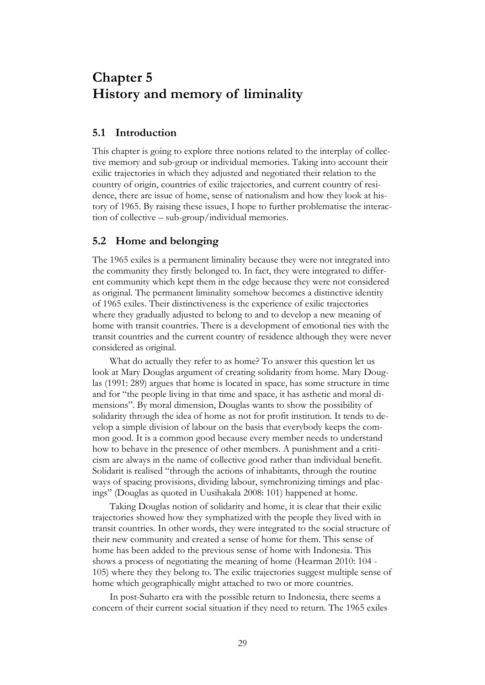## <span id="page-34-0"></span>**Chapter 5 History and memory of liminality**

### **5.1 Introduction**

This chapter is going to explore three notions related to the interplay of collective memory and sub-group or individual memories. Taking into account their exilic trajectories in which they adjusted and negotiated their relation to the country of origin, countries of exilic trajectories, and current country of residence, there are issue of home, sense of nationalism and how they look at history of 1965. By raising these issues, I hope to further problematise the interaction of collective – sub-group/individual memories.

### **5.2 Home and belonging**

The 1965 exiles is a permanent liminality because they were not integrated into the community they firstly belonged to. In fact, they were integrated to different community which kept them in the edge because they were not considered as original. The permanent liminality somehow becomes a distinctive identity of 1965 exiles. Their distinctiveness is the experience of exilic trajectories where they gradually adjusted to belong to and to develop a new meaning of home with transit countries. There is a development of emotional ties with the transit countries and the current country of residence although they were never considered as original.

What do actually they refer to as home? To answer this question let us look at Mary Douglas argument of creating solidarity from home. Mary Douglas (1991: 289) argues that home is located in space, has some structure in time and for "the people living in that time and space, it has asthetic and moral dimensions". By moral dimension, Douglas wants to show the possibility of solidarity through the idea of home as not for profit institution. It tends to develop a simple division of labour on the basis that everybody keeps the common good. It is a common good because every member needs to understand how to behave in the presence of other members. A punishment and a criticism are always in the name of collective good rather than individual benefit. Solidarit is realised "through the actions of inhabitants, through the routine ways of spacing provisions, dividing labour, symchronizing timings and placings" (Douglas as quoted in Uusihakala 2008: 101) happened at home.

Taking Douglas notion of solidarity and home, it is clear that their exilic trajectories showed how they symphatized with the people they lived with in transit countries. In other words, they were integrated to the social structure of their new community and created a sense of home for them. This sense of home has been added to the previous sense of home with Indonesia. This shows a process of negotiating the meaning of home (Hearman 2010: 104 - 105) where they they belong to. The exilic trajectories suggest multiple sense of home which geographically might attached to two or more countries.

In post-Suharto era with the possible return to Indonesia, there seems a concern of their current social situation if they need to return. The 1965 exiles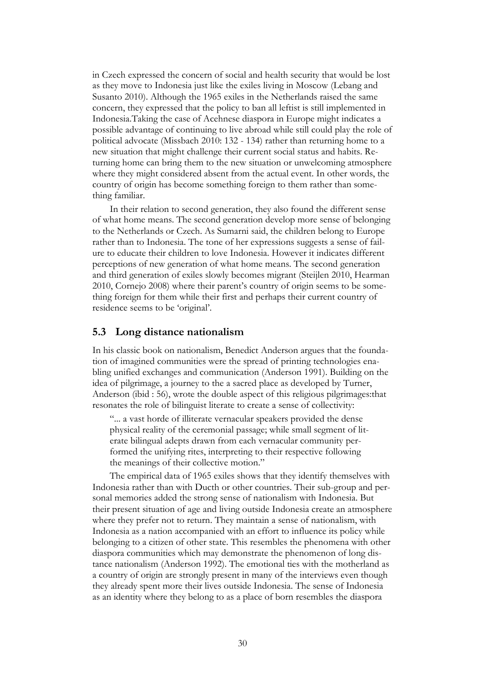in Czech expressed the concern of social and health security that would be lost as they move to Indonesia just like the exiles living in Moscow (Lebang and Susanto 2010). Although the 1965 exiles in the Netherlands raised the same concern, they expressed that the policy to ban all leftist is still implemented in Indonesia.Taking the case of Acehnese diaspora in Europe might indicates a possible advantage of continuing to live abroad while still could play the role of political advocate (Missbach 2010: 132 - 134) rather than returning home to a new situation that might challenge their current social status and habits. Returning home can bring them to the new situation or unwelcoming atmosphere where they might considered absent from the actual event. In other words, the country of origin has become something foreign to them rather than something familiar.

In their relation to second generation, they also found the different sense of what home means. The second generation develop more sense of belonging to the Netherlands or Czech. As Sumarni said, the children belong to Europe rather than to Indonesia. The tone of her expressions suggests a sense of failure to educate their children to love Indonesia. However it indicates different perceptions of new generation of what home means. The second generation and third generation of exiles slowly becomes migrant (Steijlen 2010, Hearman 2010, Cornejo 2008) where their parent's country of origin seems to be something foreign for them while their first and perhaps their current country of residence seems to be "original".

#### **5.3 Long distance nationalism**

In his classic book on nationalism, Benedict Anderson argues that the foundation of imagined communities were the spread of printing technologies enabling unified exchanges and communication (Anderson 1991). Building on the idea of pilgrimage, a journey to the a sacred place as developed by Turner, Anderson (ibid : 56), wrote the double aspect of this religious pilgrimages:that resonates the role of bilinguist literate to create a sense of collectivity:

"... a vast horde of illiterate vernacular speakers provided the dense physical reality of the ceremonial passage; while small segment of literate bilingual adepts drawn from each vernacular community performed the unifying rites, interpreting to their respective following the meanings of their collective motion."

The empirical data of 1965 exiles shows that they identify themselves with Indonesia rather than with Ducth or other countries. Their sub-group and personal memories added the strong sense of nationalism with Indonesia. But their present situation of age and living outside Indonesia create an atmosphere where they prefer not to return. They maintain a sense of nationalism, with Indonesia as a nation accompanied with an effort to influence its policy while belonging to a citizen of other state. This resembles the phenomena with other diaspora communities which may demonstrate the phenomenon of long distance nationalism (Anderson 1992). The emotional ties with the motherland as a country of origin are strongly present in many of the interviews even though they already spent more their lives outside Indonesia. The sense of Indonesia as an identity where they belong to as a place of born resembles the diaspora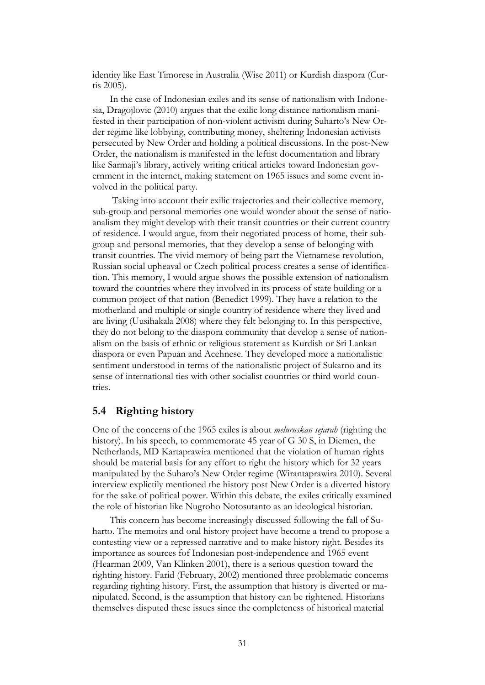identity like East Timorese in Australia (Wise 2011) or Kurdish diaspora (Curtis 2005).

In the case of Indonesian exiles and its sense of nationalism with Indonesia, Dragojlovic (2010) argues that the exilic long distance nationalism manifested in their participation of non-violent activism during Suharto"s New Order regime like lobbying, contributing money, sheltering Indonesian activists persecuted by New Order and holding a political discussions. In the post-New Order, the nationalism is manifested in the leftist documentation and library like Sarmaji"s library, actively writing critical articles toward Indonesian government in the internet, making statement on 1965 issues and some event involved in the political party.

Taking into account their exilic trajectories and their collective memory, sub-group and personal memories one would wonder about the sense of natioanalism they might develop with their transit countries or their current country of residence. I would argue, from their negotiated process of home, their subgroup and personal memories, that they develop a sense of belonging with transit countries. The vivid memory of being part the Vietnamese revolution, Russian social upheaval or Czech political process creates a sense of identification. This memory, I would argue shows the possible extension of nationalism toward the countries where they involved in its process of state building or a common project of that nation (Benedict 1999). They have a relation to the motherland and multiple or single country of residence where they lived and are living (Uusihakala 2008) where they felt belonging to. In this perspective, they do not belong to the diaspora community that develop a sense of nationalism on the basis of ethnic or religious statement as Kurdish or Sri Lankan diaspora or even Papuan and Acehnese. They developed more a nationalistic sentiment understood in terms of the nationalistic project of Sukarno and its sense of international ties with other socialist countries or third world countries.

#### **5.4 Righting history**

One of the concerns of the 1965 exiles is about *meluruskan sejarah* (righting the history). In his speech, to commemorate 45 year of G 30 S, in Diemen, the Netherlands, MD Kartaprawira mentioned that the violation of human rights should be material basis for any effort to right the history which for 32 years manipulated by the Suharo"s New Order regime (Wirantaprawira 2010). Several interview explictily mentioned the history post New Order is a diverted history for the sake of political power. Within this debate, the exiles critically examined the role of historian like Nugroho Notosutanto as an ideological historian.

This concern has become increasingly discussed following the fall of Suharto. The memoirs and oral history project have become a trend to propose a contesting view or a repressed narrative and to make history right. Besides its importance as sources fof Indonesian post-independence and 1965 event (Hearman 2009, Van Klinken 2001), there is a serious question toward the righting history. Farid (February, 2002) mentioned three problematic concerns regarding righting history. First, the assumption that history is diverted or manipulated. Second, is the assumption that history can be rightened. Historians themselves disputed these issues since the completeness of historical material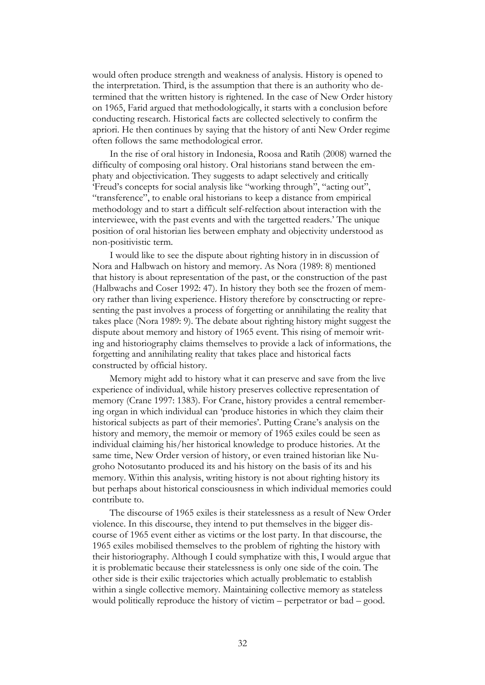would often produce strength and weakness of analysis. History is opened to the interpretation. Third, is the assumption that there is an authority who determined that the written history is rightened. In the case of New Order history on 1965, Farid argued that methodologically, it starts with a conclusion before conducting research. Historical facts are collected selectively to confirm the apriori. He then continues by saying that the history of anti New Order regime often follows the same methodological error.

In the rise of oral history in Indonesia, Roosa and Ratih (2008) warned the difficulty of composing oral history. Oral historians stand between the emphaty and objectivication. They suggests to adapt selectively and critically 'Freud's concepts for social analysis like "working through", "acting out", "transference", to enable oral historians to keep a distance from empirical methodology and to start a difficult self-relfection about interaction with the interviewee, with the past events and with the targetted readers." The unique position of oral historian lies between emphaty and objectivity understood as non-positivistic term.

I would like to see the dispute about righting history in in discussion of Nora and Halbwach on history and memory. As Nora (1989: 8) mentioned that history is about representation of the past, or the construction of the past (Halbwachs and Coser 1992: 47). In history they both see the frozen of memory rather than living experience. History therefore by consctructing or representing the past involves a process of forgetting or annihilating the reality that takes place (Nora 1989: 9). The debate about righting history might suggest the dispute about memory and history of 1965 event. This rising of memoir writing and historiography claims themselves to provide a lack of informations, the forgetting and annihilating reality that takes place and historical facts constructed by official history.

Memory might add to history what it can preserve and save from the live experience of individual, while history preserves collective representation of memory (Crane 1997: 1383). For Crane, history provides a central remembering organ in which individual can "produce histories in which they claim their historical subjects as part of their memories'. Putting Crane's analysis on the history and memory, the memoir or memory of 1965 exiles could be seen as individual claiming his/her historical knowledge to produce histories. At the same time, New Order version of history, or even trained historian like Nugroho Notosutanto produced its and his history on the basis of its and his memory. Within this analysis, writing history is not about righting history its but perhaps about historical consciousness in which individual memories could contribute to.

The discourse of 1965 exiles is their statelessness as a result of New Order violence. In this discourse, they intend to put themselves in the bigger discourse of 1965 event either as victims or the lost party. In that discourse, the 1965 exiles mobilised themselves to the problem of righting the history with their historiography. Although I could symphatize with this, I would argue that it is problematic because their statelessness is only one side of the coin. The other side is their exilic trajectories which actually problematic to establish within a single collective memory. Maintaining collective memory as stateless would politically reproduce the history of victim – perpetrator or bad – good.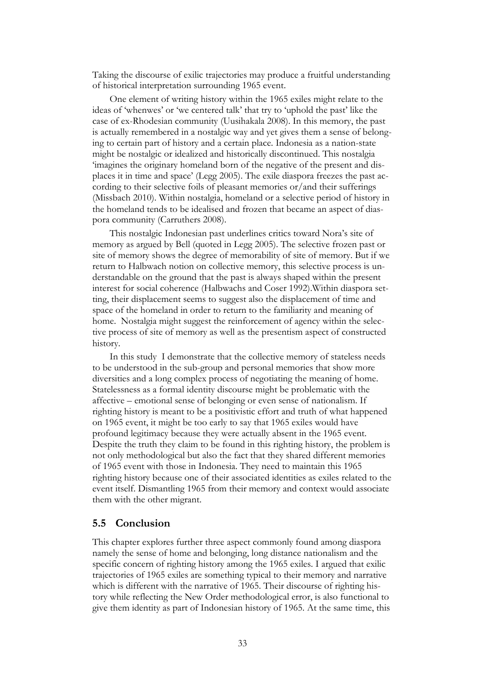Taking the discourse of exilic trajectories may produce a fruitful understanding of historical interpretation surrounding 1965 event.

One element of writing history within the 1965 exiles might relate to the ideas of "whenwes" or "we centered talk" that try to "uphold the past" like the case of ex-Rhodesian community (Uusihakala 2008). In this memory, the past is actually remembered in a nostalgic way and yet gives them a sense of belonging to certain part of history and a certain place. Indonesia as a nation-state might be nostalgic or idealized and historically discontinued. This nostalgia "imagines the originary homeland born of the negative of the present and displaces it in time and space" (Legg 2005). The exile diaspora freezes the past according to their selective foils of pleasant memories or/and their sufferings (Missbach 2010). Within nostalgia, homeland or a selective period of history in the homeland tends to be idealised and frozen that became an aspect of diaspora community (Carruthers 2008).

This nostalgic Indonesian past underlines critics toward Nora"s site of memory as argued by Bell (quoted in Legg 2005). The selective frozen past or site of memory shows the degree of memorability of site of memory. But if we return to Halbwach notion on collective memory, this selective process is understandable on the ground that the past is always shaped within the present interest for social coherence (Halbwachs and Coser 1992).Within diaspora setting, their displacement seems to suggest also the displacement of time and space of the homeland in order to return to the familiarity and meaning of home. Nostalgia might suggest the reinforcement of agency within the selective process of site of memory as well as the presentism aspect of constructed history.

In this study I demonstrate that the collective memory of stateless needs to be understood in the sub-group and personal memories that show more diversities and a long complex process of negotiating the meaning of home. Statelessness as a formal identity discourse might be problematic with the affective – emotional sense of belonging or even sense of nationalism. If righting history is meant to be a positivistic effort and truth of what happened on 1965 event, it might be too early to say that 1965 exiles would have profound legitimacy because they were actually absent in the 1965 event. Despite the truth they claim to be found in this righting history, the problem is not only methodological but also the fact that they shared different memories of 1965 event with those in Indonesia. They need to maintain this 1965 righting history because one of their associated identities as exiles related to the event itself. Dismantling 1965 from their memory and context would associate them with the other migrant.

#### **5.5 Conclusion**

This chapter explores further three aspect commonly found among diaspora namely the sense of home and belonging, long distance nationalism and the specific concern of righting history among the 1965 exiles. I argued that exilic trajectories of 1965 exiles are something typical to their memory and narrative which is different with the narrative of 1965. Their discourse of righting history while reflecting the New Order methodological error, is also functional to give them identity as part of Indonesian history of 1965. At the same time, this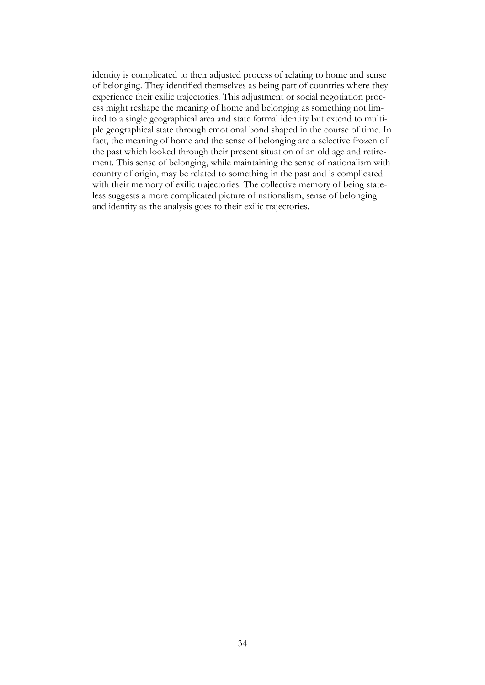identity is complicated to their adjusted process of relating to home and sense of belonging. They identified themselves as being part of countries where they experience their exilic trajectories. This adjustment or social negotiation process might reshape the meaning of home and belonging as something not limited to a single geographical area and state formal identity but extend to multiple geographical state through emotional bond shaped in the course of time. In fact, the meaning of home and the sense of belonging are a selective frozen of the past which looked through their present situation of an old age and retirement. This sense of belonging, while maintaining the sense of nationalism with country of origin, may be related to something in the past and is complicated with their memory of exilic trajectories. The collective memory of being stateless suggests a more complicated picture of nationalism, sense of belonging and identity as the analysis goes to their exilic trajectories.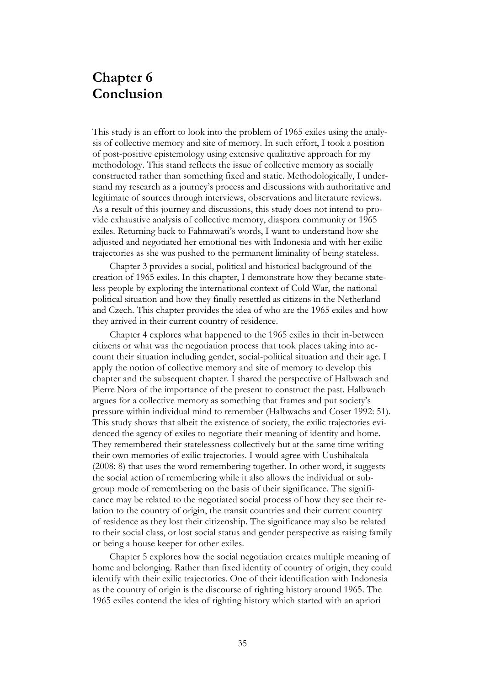## **Chapter 6 Conclusion**

This study is an effort to look into the problem of 1965 exiles using the analysis of collective memory and site of memory. In such effort, I took a position of post-positive epistemology using extensive qualitative approach for my methodology. This stand reflects the issue of collective memory as socially constructed rather than something fixed and static. Methodologically, I understand my research as a journey"s process and discussions with authoritative and legitimate of sources through interviews, observations and literature reviews. As a result of this journey and discussions, this study does not intend to provide exhaustive analysis of collective memory, diaspora community or 1965 exiles. Returning back to Fahmawati's words, I want to understand how she adjusted and negotiated her emotional ties with Indonesia and with her exilic trajectories as she was pushed to the permanent liminality of being stateless.

Chapter 3 provides a social, political and historical background of the creation of 1965 exiles. In this chapter, I demonstrate how they became stateless people by exploring the international context of Cold War, the national political situation and how they finally resettled as citizens in the Netherland and Czech. This chapter provides the idea of who are the 1965 exiles and how they arrived in their current country of residence.

Chapter 4 explores what happened to the 1965 exiles in their in-between citizens or what was the negotiation process that took places taking into account their situation including gender, social-political situation and their age. I apply the notion of collective memory and site of memory to develop this chapter and the subsequent chapter. I shared the perspective of Halbwach and Pierre Nora of the importance of the present to construct the past. Halbwach argues for a collective memory as something that frames and put society"s pressure within individual mind to remember (Halbwachs and Coser 1992: 51). This study shows that albeit the existence of society, the exilic trajectories evidenced the agency of exiles to negotiate their meaning of identity and home. They remembered their statelessness collectively but at the same time writing their own memories of exilic trajectories. I would agree with Uushihakala (2008: 8) that uses the word remembering together. In other word, it suggests the social action of remembering while it also allows the individual or subgroup mode of remembering on the basis of their significance. The significance may be related to the negotiated social process of how they see their relation to the country of origin, the transit countries and their current country of residence as they lost their citizenship. The significance may also be related to their social class, or lost social status and gender perspective as raising family or being a house keeper for other exiles.

Chapter 5 explores how the social negotiation creates multiple meaning of home and belonging. Rather than fixed identity of country of origin, they could identify with their exilic trajectories. One of their identification with Indonesia as the country of origin is the discourse of righting history around 1965. The 1965 exiles contend the idea of righting history which started with an apriori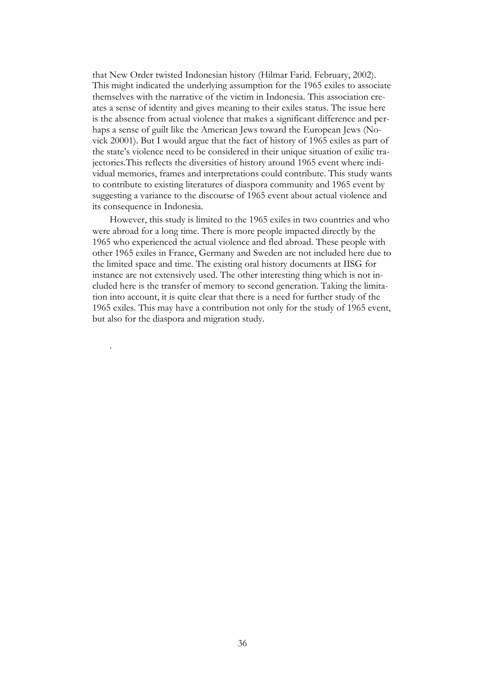that New Order twisted Indonesian history (Hilmar Farid. February, 2002). This might indicated the underlying assumption for the 1965 exiles to associate themselves with the narrative of the victim in Indonesia. This association creates a sense of identity and gives meaning to their exiles status. The issue here is the absence from actual violence that makes a significant difference and perhaps a sense of guilt like the American Jews toward the European Jews (Novick 20001). But I would argue that the fact of history of 1965 exiles as part of the state"s violence need to be considered in their unique situation of exilic trajectories.This reflects the diversities of history around 1965 event where individual memories, frames and interpretations could contribute. This study wants to contribute to existing literatures of diaspora community and 1965 event by suggesting a variance to the discourse of 1965 event about actual violence and its consequence in Indonesia.

However, this study is limited to the 1965 exiles in two countries and who were abroad for a long time. There is more people impacted directly by the 1965 who experienced the actual violence and fled abroad. These people with other 1965 exiles in France, Germany and Sweden are not included here due to the limited space and time. The existing oral history documents at IISG for instance are not extensively used. The other interesting thing which is not included here is the transfer of memory to second generation. Taking the limitation into account, it is quite clear that there is a need for further study of the 1965 exiles. This may have a contribution not only for the study of 1965 event, but also for the diaspora and migration study.

.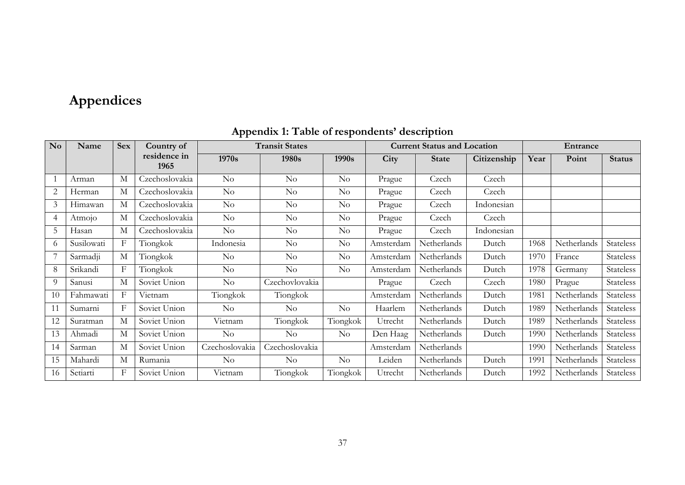# **Appendices**

| $\mathbf{N}\mathbf{o}$ | Name       | <b>Sex</b> | Country of           | <b>Transit States</b> |                    |          | <b>Current Status and Location</b> |              |             | Entrance |             |                  |
|------------------------|------------|------------|----------------------|-----------------------|--------------------|----------|------------------------------------|--------------|-------------|----------|-------------|------------------|
|                        |            |            | residence in<br>1965 | 1970s                 | 1980s              | 1990s    | City                               | <b>State</b> | Citizenship | Year     | Point       | <b>Status</b>    |
|                        | Arman      | М          | Czechoslovakia       | $\rm No$              | $\rm No$           | $\rm No$ | Prague                             | Czech        | Czech       |          |             |                  |
| 2                      | Herman     | М          | Czechoslovakia       | $\rm No$              | $\rm No$           | $\rm No$ | Prague                             | Czech        | Czech       |          |             |                  |
| 3                      | Himawan    | М          | Czechoslovakia       | $\rm No$              | $\rm No$           | $\rm No$ | Prague                             | Czech        | Indonesian  |          |             |                  |
| 4                      | Atmojo     | М          | Czechoslovakia       | $\rm No$              | $\rm No$           | $\rm No$ | Prague                             | Czech        | Czech       |          |             |                  |
| 5                      | Hasan      | М          | Czechoslovakia       | $\rm No$              | $\rm No$           | $\rm No$ | Prague                             | Czech        | Indonesian  |          |             |                  |
| 6                      | Susilowati | F          | Tiongkok             | Indonesia             | $\rm No$           | $\rm No$ | Amsterdam                          | Netherlands  | Dutch       | 1968     | Netherlands | <b>Stateless</b> |
|                        | Sarmadji   | М          | Tiongkok             | $\rm No$              | $\rm No$           | $\rm No$ | Amsterdam                          | Netherlands  | Dutch       | 1970     | France      | Stateless        |
| 8                      | Srikandi   | F          | Tiongkok             | $\rm No$              | $\rm No$           | $\rm No$ | Amsterdam                          | Netherlands  | Dutch       | 1978     | Germany     | Stateless        |
| 9                      | Sanusi     | М          | Soviet Union         | $\rm No$              | Czechovlovakia     |          | Prague                             | Czech        | Czech       | 1980     | Prague      | Stateless        |
| 10                     | Fahmawati  | F          | Vietnam              | Tiongkok              | Tiongkok           |          | Amsterdam                          | Netherlands  | Dutch       | 1981     | Netherlands | Stateless        |
| 11                     | Sumarni    | F          | Soviet Union         | $\rm No$              | $\rm No$           | $\rm No$ | Haarlem                            | Netherlands  | Dutch       | 1989     | Netherlands | Stateless        |
| 12                     | Suratman   | М          | Soviet Union         | Vietnam               | Tiongkok           | Tiongkok | Utrecht                            | Netherlands  | Dutch       | 1989     | Netherlands | Stateless        |
| 13                     | Ahmadi     | М          | Soviet Union         | $\rm No$              | $\overline{N}_{O}$ | $\rm No$ | Den Haag                           | Netherlands  | Dutch       | 1990     | Netherlands | Stateless        |
| 14                     | Sarman     | М          | Soviet Union         | Czechoslovakia        | Czechoslovakia     |          | Amsterdam                          | Netherlands  |             | 1990     | Netherlands | Stateless        |
| 15                     | Mahardi    | М          | Rumania              | $\rm No$              | $\rm No$           | $\rm No$ | Leiden                             | Netherlands  | Dutch       | 1991     | Netherlands | Stateless        |
| 16                     | Setiarti   | F          | Soviet Union         | Vietnam               | Tiongkok           | Tiongkok | Utrecht                            | Netherlands  | Dutch       | 1992     | Netherlands | Stateless        |

## **Appendix 1: Table of respondents' description**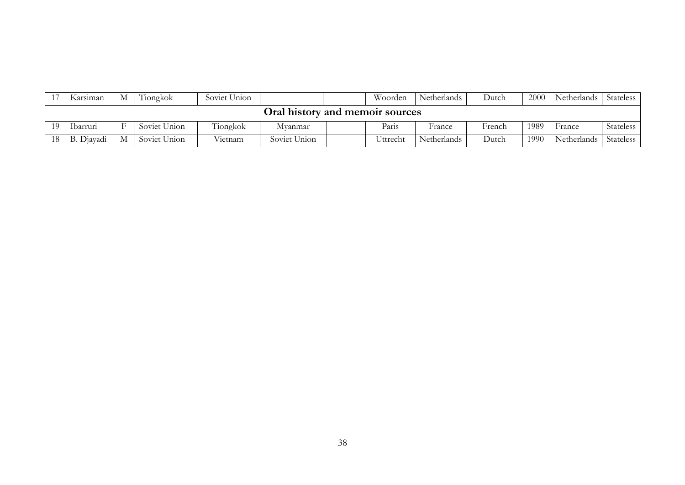|                                 | Karsiman   | M | Tiongkok     | Soviet Union |              |  | Woorden  | Netherlands | Dutch  | 2000 | Netherlands | Stateless |
|---------------------------------|------------|---|--------------|--------------|--------------|--|----------|-------------|--------|------|-------------|-----------|
| Oral history and memoir sources |            |   |              |              |              |  |          |             |        |      |             |           |
| 10                              | Ibarruri   |   | Soviet Union | Tiongkok     | Mvanmar      |  | Paris    | France      | French | 1989 | France      | Stateless |
| 18                              | B. Djayadi | М | Soviet Union | Vietnam      | Soviet Union |  | Uttrecht | Netherlands | Dutch  | 1990 | Netherlands | Stateless |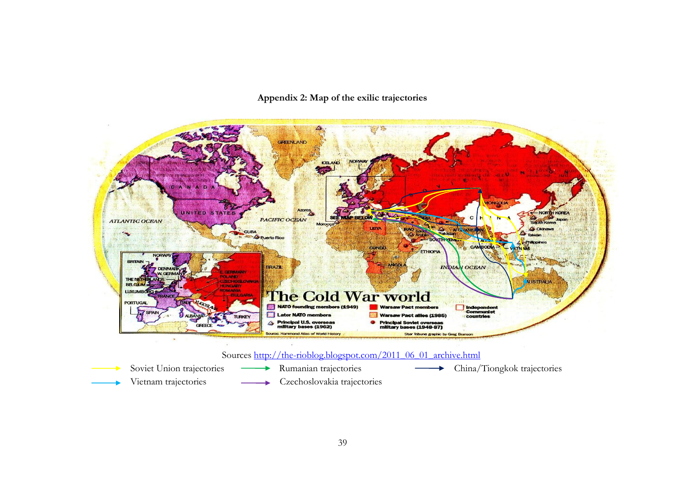## **Appendix 2: Map of the exilic trajectories**



Soviet Union trajectories – Rumanian trajectories – China/Tiongkok trajectories Vietnam trajectories 
<br>
Czechoslovakia trajectories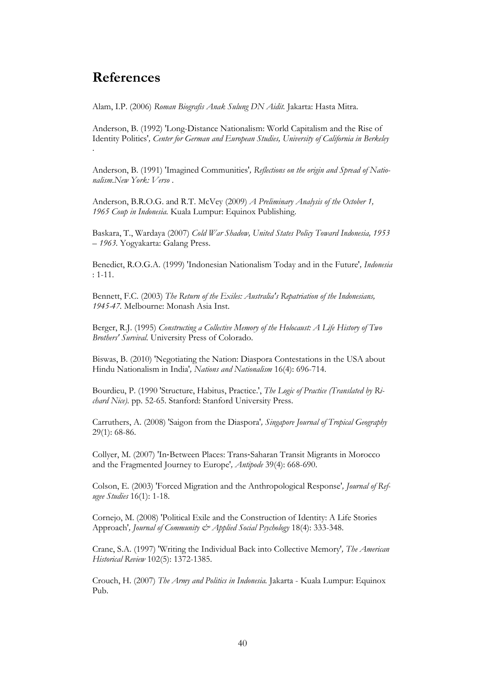## <span id="page-45-0"></span>**References**

Alam, I.P. (2006) *Roman Biografis Anak Sulung DN Aidit.* Jakarta: Hasta Mitra.

Anderson, B. (1992) 'Long-Distance Nationalism: World Capitalism and the Rise of Identity Politics'*, Center for German and European Studies, University of California in Berkeley*  .

Anderson, B. (1991) 'Imagined Communities'*, Reflections on the origin and Spread of Nationalism.New York: Verso* .

Anderson, B.R.O.G. and R.T. McVey (2009) *A Preliminary Analysis of the October 1, 1965 Coup in Indonesia.* Kuala Lumpur: Equinox Publishing.

Baskara, T., Wardaya (2007) *Cold War Shadow, United States Policy Toward Indonesia, 1953 – 1963.* Yogyakarta: Galang Press.

Benedict, R.O.G.A. (1999) 'Indonesian Nationalism Today and in the Future'*, Indonesia*  : 1-11.

Bennett, F.C. (2003) *The Return of the Exiles: Australia's Repatriation of the Indonesians, 1945-47.* Melbourne: Monash Asia Inst.

Berger, R.J. (1995) *Constructing a Collective Memory of the Holocaust: A Life History of Two Brothers' Survival.* University Press of Colorado.

Biswas, B. (2010) 'Negotiating the Nation: Diaspora Contestations in the USA about Hindu Nationalism in India'*, Nations and Nationalism* 16(4): 696-714.

Bourdieu, P. (1990 'Structure, Habitus, Practice.', *The Logic of Practice (Translated by Richard Nice).* pp. 52-65. Stanford: Stanford University Press.

Carruthers, A. (2008) 'Saigon from the Diaspora'*, Singapore Journal of Tropical Geography*  29(1): 68-86.

Collyer, M. (2007) 'In‐Between Places: Trans‐Saharan Transit Migrants in Morocco and the Fragmented Journey to Europe'*, Antipode* 39(4): 668-690.

Colson, E. (2003) 'Forced Migration and the Anthropological Response'*, Journal of Refugee Studies* 16(1): 1-18.

Cornejo, M. (2008) 'Political Exile and the Construction of Identity: A Life Stories Approach'*, Journal of Community & Applied Social Psychology* 18(4): 333-348.

Crane, S.A. (1997) 'Writing the Individual Back into Collective Memory'*, The American Historical Review* 102(5): 1372-1385.

Crouch, H. (2007) *The Army and Politics in Indonesia.* Jakarta - Kuala Lumpur: Equinox Pub.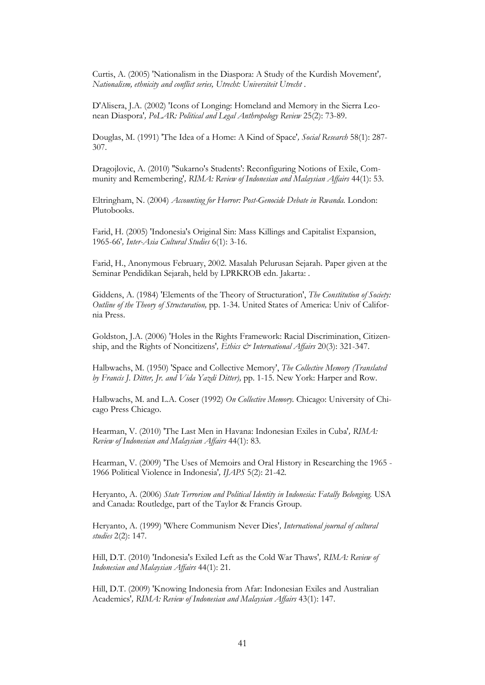Curtis, A. (2005) 'Nationalism in the Diaspora: A Study of the Kurdish Movement'*, Nationalism, ethnicity and conflict series, Utrecht: Universiteit Utrecht* .

D'Alisera, J.A. (2002) 'Icons of Longing: Homeland and Memory in the Sierra Leonean Diaspora'*, PoLAR: Political and Legal Anthropology Review* 25(2): 73-89.

Douglas, M. (1991) 'The Idea of a Home: A Kind of Space'*, Social Research* 58(1): 287- 307.

Dragojlovic, A. (2010) ''Sukarno's Students': Reconfiguring Notions of Exile, Community and Remembering'*, RIMA: Review of Indonesian and Malaysian Affairs* 44(1): 53.

Eltringham, N. (2004) *Accounting for Horror: Post-Genocide Debate in Rwanda.* London: Plutobooks.

Farid, H. (2005) 'Indonesia's Original Sin: Mass Killings and Capitalist Expansion, 1965-66'*, Inter-Asia Cultural Studies* 6(1): 3-16.

Farid, H., Anonymous February, 2002. Masalah Pelurusan Sejarah. Paper given at the Seminar Pendidikan Sejarah, held by LPRKROB edn. Jakarta: .

Giddens, A. (1984) 'Elements of the Theory of Structuration', *The Constitution of Society: Outline of the Theory of Structuration,* pp. 1-34. United States of America: Univ of California Press.

Goldston, J.A. (2006) 'Holes in the Rights Framework: Racial Discrimination, Citizenship, and the Rights of Noncitizens'*, Ethics & International Affairs* 20(3): 321-347.

Halbwachs, M. (1950) 'Space and Collective Memory', *The Collective Memory (Translated by Francis J. Ditter, Jr. and Vida Yazdi Ditter),* pp. 1-15. New York: Harper and Row.

Halbwachs, M. and L.A. Coser (1992) *On Collective Memory.* Chicago: University of Chicago Press Chicago.

Hearman, V. (2010) 'The Last Men in Havana: Indonesian Exiles in Cuba'*, RIMA: Review of Indonesian and Malaysian Affairs* 44(1): 83.

Hearman, V. (2009) 'The Uses of Memoirs and Oral History in Researching the 1965 - 1966 Political Violence in Indonesia'*, IJAPS* 5(2): 21-42.

Heryanto, A. (2006) *State Terrorism and Political Identity in Indonesia: Fatally Belonging.* USA and Canada: Routledge, part of the Taylor & Francis Group.

Heryanto, A. (1999) 'Where Communism Never Dies'*, International journal of cultural studies* 2(2): 147.

Hill, D.T. (2010) 'Indonesia's Exiled Left as the Cold War Thaws'*, RIMA: Review of Indonesian and Malaysian Affairs* 44(1): 21.

Hill, D.T. (2009) 'Knowing Indonesia from Afar: Indonesian Exiles and Australian Academics'*, RIMA: Review of Indonesian and Malaysian Affairs* 43(1): 147.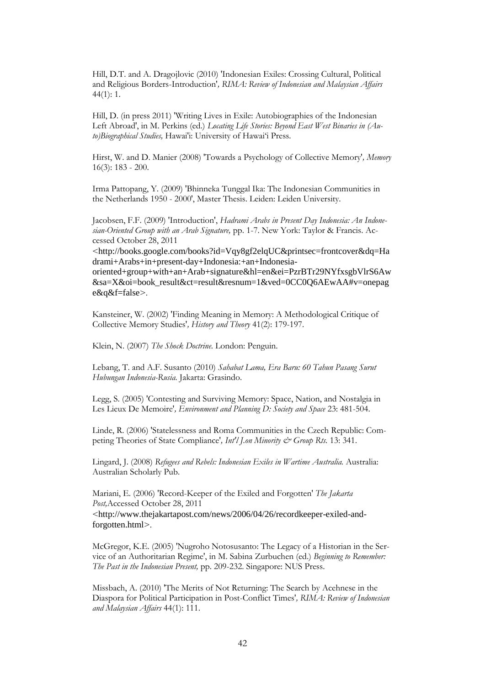Hill, D.T. and A. Dragojlovic (2010) 'Indonesian Exiles: Crossing Cultural, Political and Religious Borders-Introduction'*, RIMA: Review of Indonesian and Malaysian Affairs*  44(1): 1.

Hill, D. (in press 2011) 'Writing Lives in Exile: Autobiographies of the Indonesian Left Abroad', in M. Perkins (ed.) *Locating Life Stories: Beyond East West Binaries in (Auto)Biographical Studies,* Hawai'i: University of Hawai"i Press.

Hirst, W. and D. Manier (2008) 'Towards a Psychology of Collective Memory'*, Memory*  16(3): 183 - 200.

Irma Pattopang, Y. (2009) 'Bhinneka Tunggal Ika: The Indonesian Communities in the Netherlands 1950 - 2000', Master Thesis. Leiden: Leiden University.

Jacobsen, F.F. (2009) 'Introduction', *Hadrami Arabs in Present Day Indonesia: An Indonesian-Oriented Group with an Arab Signature,* pp. 1-7. New York: Taylor & Francis. Accessed October 28, 2011

<http://books.google.com/books?id=Vqy8gf2elqUC&printsec=frontcover&dq=Ha drami+Arabs+in+present-day+Indonesia:+an+Indonesia-

oriented+group+with+an+Arab+signature&hl=en&ei=PzrBTr29NYfxsgbVlrS6Aw &sa=X&oi=book\_result&ct=result&resnum=1&ved=0CC0Q6AEwAA#v=onepag e&q&f=false>.

Kansteiner, W. (2002) 'Finding Meaning in Memory: A Methodological Critique of Collective Memory Studies'*, History and Theory* 41(2): 179-197.

Klein, N. (2007) *The Shock Doctrine.* London: Penguin.

Lebang, T. and A.F. Susanto (2010) *Sahabat Lama, Era Baru: 60 Tahun Pasang Surut Hubungan Indonesia-Rusia.* Jakarta: Grasindo.

Legg, S. (2005) 'Contesting and Surviving Memory: Space, Nation, and Nostalgia in Les Lieux De Memoire'*, Environment and Planning D: Society and Space* 23: 481-504.

Linde, R. (2006) 'Statelessness and Roma Communities in the Czech Republic: Competing Theories of State Compliance'*, Int'l J.on Minority & Group Rts.* 13: 341.

Lingard, J. (2008) *Refugees and Rebels: Indonesian Exiles in Wartime Australia.* Australia: Australian Scholarly Pub.

Mariani, E. (2006) 'Record-Keeper of the Exiled and Forgotten' *The Jakarta Post,*Accessed October 28, 2011 <http://www.thejakartapost.com/news/2006/04/26/recordkeeper-exiled-andforgotten.html>.

McGregor, K.E. (2005) 'Nugroho Notosusanto: The Legacy of a Historian in the Service of an Authoritarian Regime', in M. Sabina Zurbuchen (ed.) *Beginning to Remember: The Past in the Indonesian Present,* pp. 209-232. Singapore: NUS Press.

Missbach, A. (2010) 'The Merits of Not Returning: The Search by Acehnese in the Diaspora for Political Participation in Post-Conflict Times'*, RIMA: Review of Indonesian and Malaysian Affairs* 44(1): 111.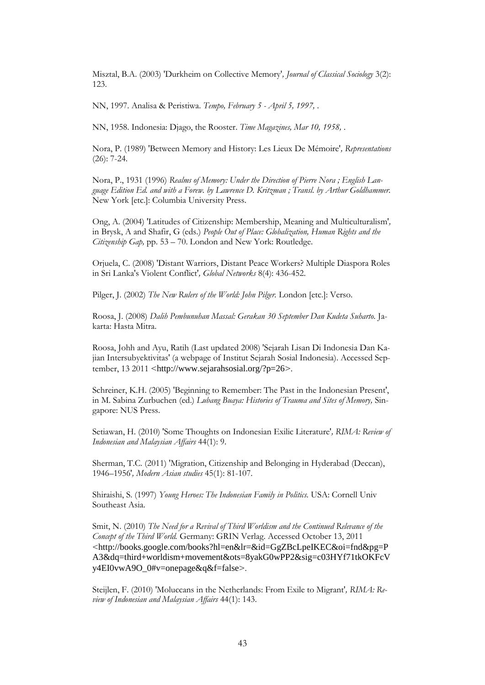Misztal, B.A. (2003) 'Durkheim on Collective Memory'*, Journal of Classical Sociology* 3(2): 123.

NN, 1997. Analisa & Peristiwa. *Tempo, February 5 - April 5, 1997,* .

NN, 1958. Indonesia: Djago, the Rooster. *Time Magazines, Mar 10, 1958,* .

Nora, P. (1989) 'Between Memory and History: Les Lieux De Mémoire'*, Representations*  (26): 7-24.

Nora, P., 1931 (1996) *Realms of Memory: Under the Direction of Pierre Nora ; English Language Edition Ed. and with a Forew. by Lawrence D. Kritzman ; Transl. by Arthur Goldhammer.*  New York [etc.]: Columbia University Press.

Ong, A. (2004) 'Latitudes of Citizenship: Membership, Meaning and Multiculturalism'*,*  in Brysk, A and Shafir, G (eds.) *People Out of Place: Globalization, Human Rights and the Citizenship Gap,* pp. 53 – 70. London and New York: Routledge.

Orjuela, C. (2008) 'Distant Warriors, Distant Peace Workers? Multiple Diaspora Roles in Sri Lanka's Violent Conflict'*, Global Networks* 8(4): 436-452.

Pilger, J. (2002) *The New Rulers of the World: John Pilger.* London [etc.]: Verso.

Roosa, J. (2008) *Dalih Pembunuhan Massal: Gerakan 30 September Dan Kudeta Suharto.* Jakarta: Hasta Mitra.

Roosa, Johh and Ayu, Ratih (Last updated 2008) 'Sejarah Lisan Di Indonesia Dan Kajian Intersubyektivitas' (a webpage of Institut Sejarah Sosial Indonesia). Accessed September, 13 2011 <http://www.sejarahsosial.org/?p=26>.

Schreiner, K.H. (2005) 'Beginning to Remember: The Past in the Indonesian Present', in M. Sabina Zurbuchen (ed.) *Lubang Buaya: Histories of Trauma and Sites of Memory,* Singapore: NUS Press.

Setiawan, H. (2010) 'Some Thoughts on Indonesian Exilic Literature'*, RIMA: Review of Indonesian and Malaysian Affairs* 44(1): 9.

Sherman, T.C. (2011) 'Migration, Citizenship and Belonging in Hyderabad (Deccan), 1946–1956'*, Modern Asian studies* 45(1): 81-107.

Shiraishi, S. (1997) *Young Heroes: The Indonesian Family in Politics.* USA: Cornell Univ Southeast Asia.

Smit, N. (2010) *The Need for a Revival of Third Worldism and the Continued Relevance of the Concept of the Third World.* Germany: GRIN Verlag. Accessed October 13, 2011 <http://books.google.com/books?hl=en&lr=&id=GgZBcLpeIKEC&oi=fnd&pg=P A3&dq=third+worldism+movement&ots=8yakG0wPP2&sig=c03HYf71tkOKFcV y4EI0vwA9O\_0#v=onepage&q&f=false>.

Steijlen, F. (2010) 'Moluccans in the Netherlands: From Exile to Migrant'*, RIMA: Review of Indonesian and Malaysian Affairs* 44(1): 143.